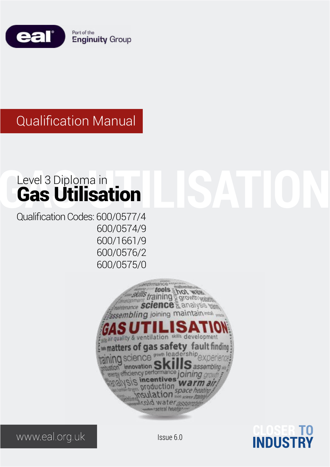

# Qualification Manual

# Level 3 Diploma in<br>**Gas Utilisation**<br>Qualification Codes: 600/0577/4 Level 3 Diploma in Gas Utilisation

Qualification Codes: 600/0577/4 600/0574/9 600/1661/9 600/0576/2 600/0575/0





www.eal.org.uk

Issue 6.0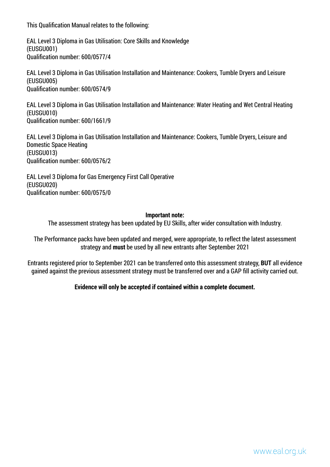This Qualification Manual relates to the following:

EAL Level 3 Diploma in Gas Utilisation: Core Skills and Knowledge (EUSGU001) Qualification number: 600/0577/4

EAL Level 3 Diploma in Gas Utilisation Installation and Maintenance: Cookers, Tumble Dryers and Leisure (EUSGU005) Qualification number: 600/0574/9

EAL Level 3 Diploma in Gas Utilisation Installation and Maintenance: Water Heating and Wet Central Heating (EUSGU010) Qualification number: 600/1661/9

EAL Level 3 Diploma in Gas Utilisation Installation and Maintenance: Cookers, Tumble Dryers, Leisure and Domestic Space Heating (EUSGU013) Qualification number: 600/0576/2

EAL Level 3 Diploma for Gas Emergency First Call Operative (EUSGU020) Qualification number: 600/0575/0

#### **Important note:**

The assessment strategy has been updated by EU Skills, after wider consultation with Industry.

The Performance packs have been updated and merged, were appropriate, to reflect the latest assessment strategy and **must** be used by all new entrants after September 2021

Entrants registered prior to September 2021 can be transferred onto this assessment strategy, **BUT** all evidence gained against the previous assessment strategy must be transferred over and a GAP fill activity carried out.

#### **Evidence will only be accepted if contained within a complete document.**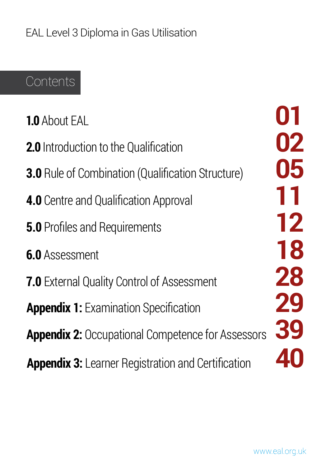# **Contents**

- **1.0** About EAL
- **2.0** Introduction to the Qualification
- **3.0** Rule of Combination (Qualification Structure)
- **4.0** Centre and Qualification Approval
- **5.0** Profiles and Requirements
- **6.0** Assessment
- **7.0** External Quality Control of Assessment
- **Appendix 1: Examination Specification**
- **Appendix 2:** Occupational Competence for Assessors
- **Appendix 3:** Learner Registration and Certification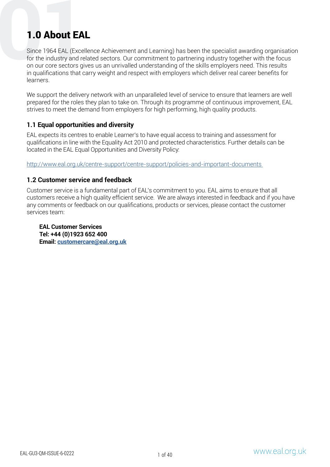**1.0 About EAL**<br>Since 1964 EAL (Excelle<br>for the industry and rela<br>on our core sectors give<br>in qualifications that car Since 1964 EAL (Excellence Achievement and Learning) has been the specialist awarding organisation for the industry and related sectors. Our commitment to partnering industry together with the focus on our core sectors gives us an unrivalled understanding of the skills employers need. This results in qualifications that carry weight and respect with employers which deliver real career benefits for learners.

We support the delivery network with an unparalleled level of service to ensure that learners are well prepared for the roles they plan to take on. Through its programme of continuous improvement, EAL strives to meet the demand from employers for high performing, high quality products.

## **1.1 Equal opportunities and diversity**

EAL expects its centres to enable Learner's to have equal access to training and assessment for qualifications in line with the Equality Act 2010 and protected characteristics. Further details can be located in the EAL Equal Opportunities and Diversity Policy:

[http://www.eal.org.uk/centre-support/centre-support/policies-and-important-documents](http://www.eal.org.uk/centre-support/centre-support/policies-and-important-documents ) 

## **1.2 Customer service and feedback**

Customer service is a fundamental part of EAL's commitment to you. EAL aims to ensure that all customers receive a high quality efficient service. We are always interested in feedback and if you have any comments or feedback on our qualifications, products or services, please contact the customer services team:

**EAL Customer Services Tel: +44 (0)1923 652 400 Email: [customercare@eal.org.uk](http://customercare@eal.org.uk)**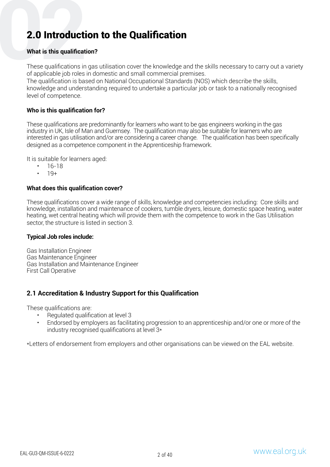# **02**2.0 Introduction to the Qualification

#### **What is this qualification?**

These qualifications in gas utilisation cover the knowledge and the skills necessary to carry out a variety of applicable job roles in domestic and small commercial premises.

The qualification is based on National Occupational Standards (NOS) which describe the skills, knowledge and understanding required to undertake a particular job or task to a nationally recognised level of competence.

#### **Who is this qualification for?**

These qualifications are predominantly for learners who want to be gas engineers working in the gas industry in UK, Isle of Man and Guernsey. The qualification may also be suitable for learners who are interested in gas utilisation and/or are considering a career change. The qualification has been specifically designed as a competence component in the Apprenticeship framework.

It is suitable for learners aged:

- $\cdot$  16-18
- $19+$

#### **What does this qualification cover?**

These qualifications cover a wide range of skills, knowledge and competencies including: Core skills and knowledge, installation and maintenance of cookers, tumble dryers, leisure, domestic space heating, water heating, wet central heating which will provide them with the competence to work in the Gas Utilisation sector, the structure is listed in section 3.

#### **Typical Job roles include:**

Gas Installation Engineer Gas Maintenance Engineer Gas Installation and Maintenance Engineer First Call Operative

#### **2.1 Accreditation & Industry Support for this Qualification**

These qualifications are:

- Regulated qualification at level 3
- Endorsed by employers as facilitating progression to an apprenticeship and/or one or more of the industry recognised qualifications at level 3\*

\*Letters of endorsement from employers and other organisations can be viewed on the EAL website.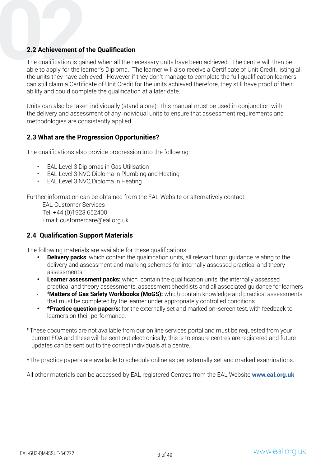**2.2 Achievement of the Qualification**<br>The qualification is gained when all the nable to apply for the learner's Diploma. The unite that have a schiared Hausever if The qualification is gained when all the necessary units have been achieved. The centre will then be able to apply for the learner's Diploma. The learner will also receive a Certificate of Unit Credit, listing all the units they have achieved. However if they don't manage to complete the full qualification learners can still claim a Certificate of Unit Credit for the units achieved therefore, they still have proof of their ability and could complete the qualification at a later date.

Units can also be taken individually (stand alone). This manual must be used in conjunction with the delivery and assessment of any individual units to ensure that assessment requirements and methodologies are consistently applied.

## **2.3 What are the Progression Opportunities?**

The qualifications also provide progression into the following:

- EAL Level 3 Diplomas in Gas Utilisation
- EAL Level 3 NVQ Diploma in Plumbing and Heating
- EAL Level 3 NVQ Diploma in Heating

Further information can be obtained from the EAL Website or alternatively contact:

EAL Customer Services Tel: +44 (0)1923 652400 Email: customercare@eal.org.uk

## **2.4 Qualification Support Materials**

The following materials are available for these qualifications:

- **Delivery packs:** which contain the qualification units, all relevant tutor guidance relating to the delivery and assessment and marking schemes for internally assessed practical and theory assessments
- **Learner assessment packs:** which contain the qualification units, the internally assessed practical and theory assessments, assessment checklists and all associated guidance for learners
- **• #Matters of Gas Safety Workbooks (MoGS):** which contain knowledge and practical assessments that must be completed by the learner under appropriately controlled conditions
- **• \*Practice question paper/s:** for the externally set and marked on-screen test, with feedback to learners on their performance.

**#** These documents are not available from our on line services portal and must be requested from your current EQA and these will be sent out electronically, this is to ensure centres are registered and future updates can be sent out to the correct individuals at a centre.

**\***The practice papers are available to schedule online as per externally set and marked examinations.

All other materials can be accessed by EAL registered Centres from the EAL Website **[www.eal.org.uk](http:// www.eal.org.uk)**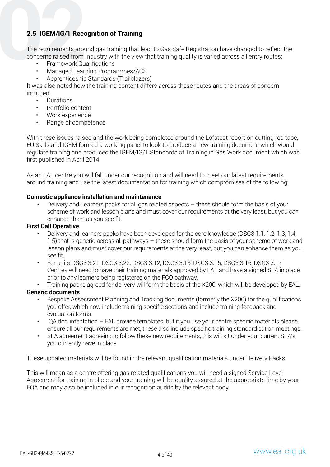**2.5 IGEM/IG/1 Recognition of Training**<br>The requirements around gas training that le<br>concerns raised from Industry with the view<br>• Framework Qualifications<br>• Managed Learning Programmes/AC The requirements around gas training that lead to Gas Safe Registration have changed to reflect the concerns raised from Industry with the view that training quality is varied across all entry routes:

- Framework Qualifications
- Managed Learning Programmes/ACS
- Apprenticeship Standards (Trailblazers)

It was also noted how the training content differs across these routes and the areas of concern included:

- Durations
- Portfolio content
- Work experience
- Range of competence

With these issues raised and the work being completed around the Lofstedt report on cutting red tape, EU Skills and IGEM formed a working panel to look to produce a new training document which would regulate training and produced the IGEM/IG/1 Standards of Training in Gas Work document which was first published in April 2014.

As an EAL centre you will fall under our recognition and will need to meet our latest requirements around training and use the latest documentation for training which compromises of the following:

#### **Domestic appliance installation and maintenance**

• Delivery and Learners packs for all gas related aspects – these should form the basis of your scheme of work and lesson plans and must cover our requirements at the very least, but you can enhance them as you see fit.

#### **First Call Operative**

- Delivery and learners packs have been developed for the core knowledge (DSG3 1.1, 1.2, 1.3, 1.4, 1.5) that is generic across all pathways – these should form the basis of your scheme of work and lesson plans and must cover our requirements at the very least, but you can enhance them as you see fit.
- For units DSG3 3.21, DSG3 3.22, DSG3 3.12, DSG3 3.13, DSG3 3.15, DSG3 3.16, DSG3 3.17 Centres will need to have their training materials approved by EAL and have a signed SLA in place prior to any learners being registered on the FCO pathway.
- Training packs agreed for delivery will form the basis of the X200, which will be developed by EAL.

#### **Generic documents**

- Bespoke Assessment Planning and Tracking documents (formerly the X200) for the qualifications you offer, which now include training specific sections and include training feedback and evaluation forms
- IQA documentation EAL provide templates, but if you use your centre specific materials please ensure all our requirements are met, these also include specific training standardisation meetings.
- SLA agreement agreeing to follow these new requirements, this will sit under your current SLA's you currently have in place.

These updated materials will be found in the relevant qualification materials under Delivery Packs.

This will mean as a centre offering gas related qualifications you will need a signed Service Level Agreement for training in place and your training will be quality assured at the appropriate time by your EQA and may also be included in our recognition audits by the relevant body.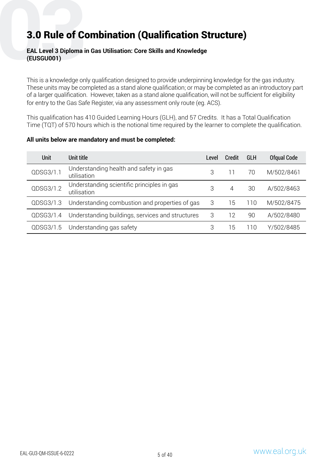# **03**3.0 Rule of Combination (Qualification Structure)

#### **EAL Level 3 Diploma in Gas Utilisation: Core Skills and Knowledge (EUSGU001)**

This is a knowledge only qualification designed to provide underpinning knowledge for the gas industry. These units may be completed as a stand alone qualification; or may be completed as an introductory part of a larger qualification. However, taken as a stand alone qualification, will not be sufficient for eligibility for entry to the Gas Safe Register, via any assessment only route (eg. ACS).

This qualification has 410 Guided Learning Hours (GLH), and 57 Credits. It has a Total Qualification Time (TQT) of 570 hours which is the notional time required by the learner to complete the qualification.

#### **All units below are mandatory and must be completed:**

| Unit      | Unit title                                                | Level | Credit | <b>GLH</b> | <b>Ofqual Code</b> |
|-----------|-----------------------------------------------------------|-------|--------|------------|--------------------|
| QDSG3/1.1 | Understanding health and safety in gas<br>utilisation     | З     |        | 70         | M/502/8461         |
| QDSG3/1.2 | Understanding scientific principles in gas<br>utilisation | З     | 4      | 30         | A/502/8463         |
| QDSG3/1.3 | Understanding combustion and properties of gas            | 3     | 15     | 110        | M/502/8475         |
| QDSG3/1.4 | Understanding buildings, services and structures          | З     | ۱2     | 90         | A/502/8480         |
| QDSG3/1.5 | Understanding gas safety                                  | 3     | 5      | $\Box$     | Y/502/8485         |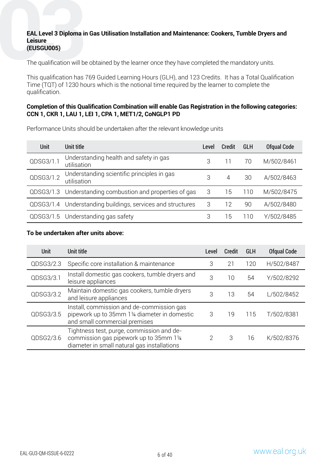# **EAL Level 3 Diploma in Gas Utilisation Installation and Maintenance: Cookers, Tumble Dryers and Leisure<br>(EUSGU005)**<br>The qualification will be obtained by the learner once they have completed the mandatory units. **Leisure (EUSGU005)**

The qualification will be obtained by the learner once they have completed the mandatory units.

This qualification has 769 Guided Learning Hours (GLH), and 123 Credits. It has a Total Qualification Time (TQT) of 1230 hours which is the notional time required by the learner to complete the qualification.

#### **Completion of this Qualification Combination will enable Gas Registration in the following categories: CCN 1, CKR 1, LAU 1, LEI 1, CPA 1, MET1/2, CoNGLP1 PD**

Performance Units should be undertaken after the relevant knowledge units

| Unit      | Unit title                                                 | Level | Credit | <b>GLH</b> | <b>Ofqual Code</b> |
|-----------|------------------------------------------------------------|-------|--------|------------|--------------------|
| QDSG3/1.1 | Understanding health and safety in gas<br>utilisation      | 3     |        | 70         | M/502/8461         |
| QDSG3/1.2 | Understanding scientific principles in gas<br>utilisation  | З     | 4      | 30         | A/502/8463         |
|           | QDSG3/1.3 Understanding combustion and properties of gas   | 3     | 15     | 110        | M/502/8475         |
|           | QDSG3/1.4 Understanding buildings, services and structures | 3     | 12     | 90         | A/502/8480         |
|           | QDSG3/1.5 Understanding gas safety                         | З     | ⊺5     | 110        | Y/502/8485         |

| Unit      | Unit title                                                                                                                          | Level | Credit | <b>GLH</b> | <b>Ofqual Code</b> |
|-----------|-------------------------------------------------------------------------------------------------------------------------------------|-------|--------|------------|--------------------|
| QDSG3/2.3 | Specific core installation & maintenance                                                                                            | 3     | 21     | 120        | H/502/8487         |
| QDSG3/3.1 | Install domestic gas cookers, tumble dryers and<br>leisure appliances                                                               | 3     | 10     | 54         | Y/502/8292         |
| QDSG3/3.2 | Maintain domestic gas cookers, tumble dryers<br>and leisure appliances                                                              | 3     | 13     | 54         | L/502/8452         |
| QDSG3/3.5 | Install, commission and de-commission gas<br>pipework up to 35mm 11/4 diameter in domestic<br>and small commercial premises         | З     | 19     | 115        | T/502/8381         |
| QDSG2/3.6 | Tightness test, purge, commission and de-<br>commission gas pipework up to 35mm 11/4<br>diameter in small natural gas installations | 2     | З      | 16         | K/502/8376         |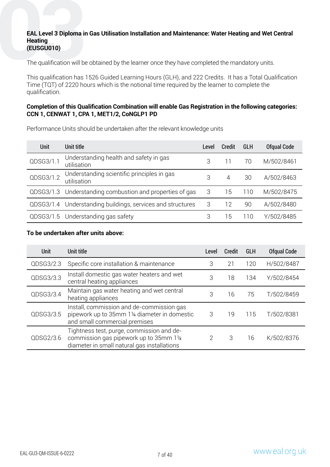# **EAL Level 3 Diploma in Gas Utilisation Installation and Maintenance: Water Heating and Wet Central Heating<br>
(EUSGU010)**<br>
The qualification will be obtained by the learner once they have completed the mandatory units. **Heating (EUSGU010)**

The qualification will be obtained by the learner once they have completed the mandatory units.

This qualification has 1526 Guided Learning Hours (GLH), and 222 Credits. It has a Total Qualification Time (TQT) of 2220 hours which is the notional time required by the learner to complete the qualification.

#### **Completion of this Qualification Combination will enable Gas Registration in the following categories: CCN 1, CENWAT 1, CPA 1, MET1/2, CoNGLP1 PD**

Performance Units should be undertaken after the relevant knowledge units

| Unit      | Unit title                                                 | Level | Credit | <b>GLH</b> | <b>Ofqual Code</b> |
|-----------|------------------------------------------------------------|-------|--------|------------|--------------------|
| QDSG3/1.1 | Understanding health and safety in gas<br>utilisation      | 3     |        | 70         | M/502/8461         |
| QDSG3/1.2 | Understanding scientific principles in gas<br>utilisation  | З     | 4      | 30         | A/502/8463         |
|           | QDSG3/1.3 Understanding combustion and properties of gas   | 3     | 15     | 110        | M/502/8475         |
|           | QDSG3/1.4 Understanding buildings, services and structures | 3     | 12     | 90         | A/502/8480         |
|           | QDSG3/1.5 Understanding gas safety                         | З     | 15     | 110        | Y/502/8485         |

| Unit      | Unit title                                                                                                                                           | Level         | Credit      | <b>GLH</b> | <b>Ofqual Code</b> |
|-----------|------------------------------------------------------------------------------------------------------------------------------------------------------|---------------|-------------|------------|--------------------|
| QDSG3/2.3 | Specific core installation & maintenance                                                                                                             | 3             | $2^{\circ}$ | 120        | H/502/8487         |
| QDSG3/3.3 | Install domestic gas water heaters and wet<br>central heating appliances                                                                             | 3             | 18          | 134        | Y/502/8454         |
| QDSG3/3.4 | Maintain gas water heating and wet central<br>heating appliances                                                                                     | 3             | 16          | 75         | T/502/8459         |
| QDSG3/3.5 | Install, commission and de-commission gas<br>pipework up to 35mm 1 <sup>1</sup> / <sub>4</sub> diameter in domestic<br>and small commercial premises | 3             | 19          | 115        | T/502/8381         |
| QDSG2/3.6 | Tightness test, purge, commission and de-<br>commission gas pipework up to 35mm 11/4<br>diameter in small natural gas installations                  | $\mathcal{P}$ | З           | 16         | K/502/8376         |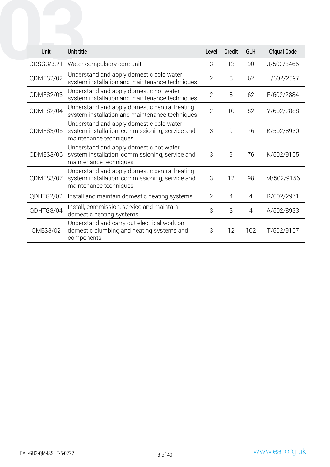| Unit            | Unit title                                                                                                                 | Level          | <b>Credit</b>  | <b>GLH</b>     | <b>Ofqual Code</b> |
|-----------------|----------------------------------------------------------------------------------------------------------------------------|----------------|----------------|----------------|--------------------|
| QDSG3/3.21      | Water compulsory core unit                                                                                                 | 3              | 13             | 90             | J/502/8465         |
| QDMES2/02       | Understand and apply domestic cold water<br>system installation and maintenance techniques                                 | $\overline{2}$ | 8              | 62             | H/602/2697         |
| QDMES2/03       | Understand and apply domestic hot water<br>system installation and maintenance techniques                                  | $\overline{2}$ | 8              | 62             | F/602/2884         |
| QDMES2/04       | Understand and apply domestic central heating<br>system installation and maintenance techniques                            | $\overline{2}$ | 10             | 82             | Y/602/2888         |
| QDMES3/05       | Understand and apply domestic cold water<br>system installation, commissioning, service and<br>maintenance techniques      | 3              | 9              | 76             | K/502/8930         |
| QDMES3/06       | Understand and apply domestic hot water<br>system installation, commissioning, service and<br>maintenance techniques       | 3              | 9              | 76             | K/502/9155         |
| QDMES3/07       | Understand and apply domestic central heating<br>system installation, commissioning, service and<br>maintenance techniques | 3              | 12             | 98             | M/502/9156         |
| QDHTG2/02       | Install and maintain domestic heating systems                                                                              | $\overline{2}$ | $\overline{4}$ | 4              | R/602/2971         |
| QDHTG3/04       | Install, commission, service and maintain<br>domestic heating systems                                                      | 3              | 3              | $\overline{4}$ | A/502/8933         |
| <b>QMES3/02</b> | Understand and carry out electrical work on<br>domestic plumbing and heating systems and<br>components                     | 3              | 12             | 102            | T/502/9157         |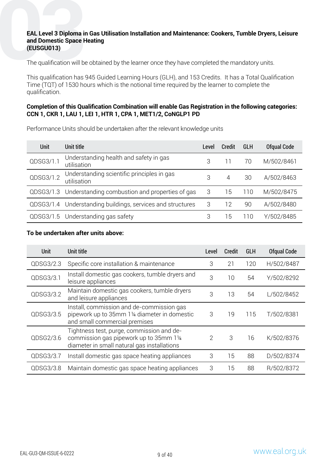# **EAL Level 3 Diploma in Gas Utilisation Installation and Maintenance: Cookers, Tumble Dryers, Leisure<br>and Domestic Space Heating<br>The qualification will be obtained by the learner once they have completed the mandatory unit and Domestic Space Heating (EUSGU013)**

The qualification will be obtained by the learner once they have completed the mandatory units.

This qualification has 945 Guided Learning Hours (GLH), and 153 Credits. It has a Total Qualification Time (TQT) of 1530 hours which is the notional time required by the learner to complete the qualification.

#### **Completion of this Qualification Combination will enable Gas Registration in the following categories: CCN 1, CKR 1, LAU 1, LEI 1, HTR 1, CPA 1, MET1/2, CoNGLP1 PD**

Performance Units should be undertaken after the relevant knowledge units

| Unit      | Unit title                                                 | Level | Credit | <b>GLH</b> | <b>Ofqual Code</b> |
|-----------|------------------------------------------------------------|-------|--------|------------|--------------------|
| QDSG3/1.1 | Understanding health and safety in gas<br>utilisation      | 3     |        | 70         | M/502/8461         |
| QDSG3/1.2 | Understanding scientific principles in gas<br>utilisation  | З     | 4      | 30         | A/502/8463         |
|           | QDSG3/1.3 Understanding combustion and properties of gas   | 3     | 15     | 110        | M/502/8475         |
|           | QDSG3/1.4 Understanding buildings, services and structures | 3     | 12     | 90         | A/502/8480         |
|           | QDSG3/1.5 Understanding gas safety                         | З     | 15     | 110        | Y/502/8485         |

| Unit      | Unit title                                                                                                                               | Level | <b>Credit</b>  | <b>GLH</b> | <b>Ofqual Code</b> |
|-----------|------------------------------------------------------------------------------------------------------------------------------------------|-------|----------------|------------|--------------------|
| QDSG3/2.3 | Specific core installation & maintenance                                                                                                 | 3     | 2 <sup>1</sup> | 120        | H/502/8487         |
| QDSG3/3.1 | Install domestic gas cookers, tumble dryers and<br>leisure appliances                                                                    | 3     | 10             | 54         | Y/502/8292         |
| QDSG3/3.2 | Maintain domestic gas cookers, tumble dryers<br>and leisure appliances                                                                   | 3     | 13             | 54         | L/502/8452         |
| QDSG3/3.5 | Install, commission and de-commission gas<br>pipework up to 35mm 1 <sup>1</sup> /4 diameter in domestic<br>and small commercial premises | 3     | 19             | 115        | T/502/8381         |
| QDSG2/3.6 | Tightness test, purge, commission and de-<br>commission gas pipework up to 35mm 11/4<br>diameter in small natural gas installations      | 2     | 3              | 16         | K/502/8376         |
| QDSG3/3.7 | Install domestic gas space heating appliances                                                                                            | 3     | 15             | 88         | D/502/8374         |
| QDSG3/3.8 | Maintain domestic gas space heating appliances                                                                                           | 3     | 15             | 88         | R/502/8372         |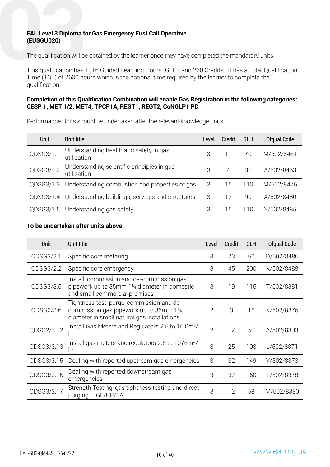# **EAL Level 3 Diploma for Gas Emergency First Call Operative (EUSGU020)**<br>The qualification will be obtained by the learner once they have<br>This qualification has 1316 Guided Learning Hours (GLH), an **(EUSGU020)**

The qualification will be obtained by the learner once they have completed the mandatory units.

This qualification has 1316 Guided Learning Hours (GLH), and 260 Credits. It has a Total Qualification Time (TQT) of 2600 hours which is the notional time required by the learner to complete the qualification.

#### **Completion of this Qualification Combination will enable Gas Registration in the following categories: CESP 1, MET 1/2, MET4, TPCP1A, REGT1, REGT2, CoNGLP1 PD**

Performance Units should be undertaken after the relevant knowledge units

| Unit      | Unit title                                                 | Level | Credit | <b>GLH</b> | <b>Ofqual Code</b> |
|-----------|------------------------------------------------------------|-------|--------|------------|--------------------|
| QDSG3/1.1 | Understanding health and safety in gas<br>utilisation      | 3     | $\Box$ | 70         | M/502/8461         |
| QDSG3/1.2 | Understanding scientific principles in gas<br>utilisation  | 3     | 4      | 30         | A/502/8463         |
|           | QDSG3/1.3 Understanding combustion and properties of gas   | 3     | 15     | 110        | M/502/8475         |
|           | QDSG3/1.4 Understanding buildings, services and structures | 3     | 12     | 90         | A/502/8480         |
|           | QDSG3/1.5 Understanding gas safety                         | 3     | 15     | 110        | Y/502/8485         |

| Unit       | Unit title                                                                                                                                           | Level          | <b>Credit</b> | GLH | <b>Ofqual Code</b> |
|------------|------------------------------------------------------------------------------------------------------------------------------------------------------|----------------|---------------|-----|--------------------|
| QDSG3/2.1  | Specific core metering                                                                                                                               | 3              | 23            | 60  | D/502/8486         |
| QDSG3/2.2  | Specific core emergency                                                                                                                              | 3              | 45            | 200 | K/502/8488         |
| QDSG3/3.5  | Install, commission and de-commission gas<br>pipework up to 35mm 1 <sup>1</sup> / <sub>4</sub> diameter in domestic<br>and small commercial premises | 3              | 19            | 115 | T/502/8381         |
| QDSG2/3.6  | Tightness test, purge, commission and de-<br>commission gas pipework up to 35mm 11/4<br>diameter in small natural gas installations                  | $\overline{2}$ | 3             | 16  | K/502/8376         |
| QDSG2/3.12 | Install Gas Meters and Regulators 2.5 to 16.0m <sup>3</sup> /<br>hr                                                                                  | $\overline{2}$ | 12            | 50  | A/502/8303         |
| QDSG3/3.13 | Install gas meters and regulators 2.5 to 1076m <sup>3</sup> /<br>hr                                                                                  | 3              | 25            | 108 | L/502/8371         |
| QDSG3/3.15 | Dealing with reported upstream gas emergencies                                                                                                       | 3              | 32            | 149 | Y/502/8373         |
| QDSG3/3.16 | Dealing with reported downstream gas<br>emergencies                                                                                                  | 3              | 32            | 150 | T/502/8378         |
| QDSG3/3.17 | Strength Testing, gas tightness testing and direct<br>purging -IGE/UP/1A                                                                             | 3              | 12            | 58  | M/502/8380         |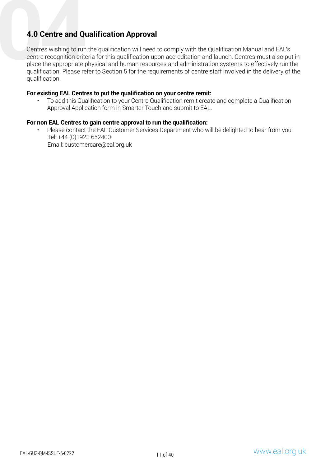**4.0 Centre and Qualification Approval**<br>Centres wishing to run the qualification will need t<br>centre recognition criteria for this qualification upo<br>place the appropriate physical and human resourd<br>qualification. Please ref Centres wishing to run the qualification will need to comply with the Qualification Manual and EAL's centre recognition criteria for this qualification upon accreditation and launch. Centres must also put in place the appropriate physical and human resources and administration systems to effectively run the qualification. Please refer to Section 5 for the requirements of centre staff involved in the delivery of the qualification.

#### **For existing EAL Centres to put the qualification on your centre remit:**

• To add this Qualification to your Centre Qualification remit create and complete a Qualification Approval Application form in Smarter Touch and submit to EAL.

#### **For non EAL Centres to gain centre approval to run the qualification:**

- Please contact the EAL Customer Services Department who will be delighted to hear from you: Tel: +44 (0)1923 652400
	- Email: customercare@eal.org.uk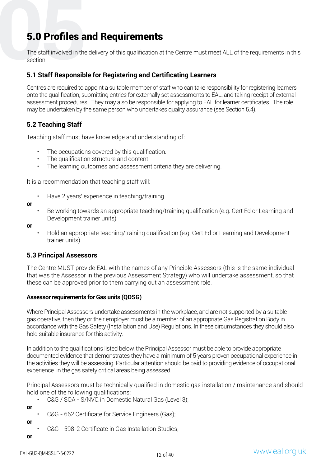**5.0 Profiles and Requirements<br>
The staff involved in the delivery of this qualification a<br>
section.<br>
5.1 Staff Responsible for Registering and Cert** The staff involved in the delivery of this qualification at the Centre must meet ALL of the requirements in this section.

## **5.1 Staff Responsible for Registering and Certificating Learners**

Centres are required to appoint a suitable member of staff who can take responsibility for registering learners onto the qualification, submitting entries for externally set assessments to EAL, and taking receipt of external assessment procedures. They may also be responsible for applying to EAL for learner certificates. The role may be undertaken by the same person who undertakes quality assurance (see Section 5.4).

## **5.2 Teaching Staff**

Teaching staff must have knowledge and understanding of:

- The occupations covered by this qualification.
- The qualification structure and content.
- The learning outcomes and assessment criteria they are delivering.

It is a recommendation that teaching staff will:

- Have 2 years' experience in teaching/training
- **or**
- Be working towards an appropriate teaching/training qualification (e.g. Cert Ed or Learning and Development trainer units)

**or** 

• Hold an appropriate teaching/training qualification (e.g. Cert Ed or Learning and Development trainer units)

## **5.3 Principal Assessors**

The Centre MUST provide EAL with the names of any Principle Assessors (this is the same individual that was the Assessor in the previous Assessment Strategy) who will undertake assessment, so that these can be approved prior to them carrying out an assessment role.

#### **Assessor requirements for Gas units (QDSG)**

Where Principal Assessors undertake assessments in the workplace, and are not supported by a suitable gas operative, then they or their employer must be a member of an appropriate Gas Registration Body in accordance with the Gas Safety (Installation and Use) Regulations. In these circumstances they should also hold suitable insurance for this activity.

In addition to the qualifications listed below, the Principal Assessor must be able to provide appropriate documented evidence that demonstrates they have a minimum of 5 years proven occupational experience in the activities they will be assessing. Particular attention should be paid to providing evidence of occupational experience in the gas safety critical areas being assessed.

Principal Assessors must be technically qualified in domestic gas installation / maintenance and should hold one of the following qualifications:

- C&G / SQA S/NVQ in Domestic Natural Gas (Level 3);
- **or**
- C&G 662 Certificate for Service Engineers (Gas);

**or**

- C&G 598-2 Certificate in Gas Installation Studies;
- **or**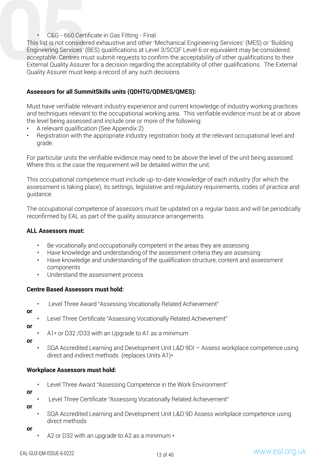**059**• C&G - 660 Certificate in Gas Fitting - Final<br>This list is not considered exhaustive and other "I<br>Engineering Services" (BES) qualifications at Lev<br>acceptable. Centres must submit requests to con<br>External Quality Ass This list is not considered exhaustive and other 'Mechanical Engineering Services' (MES) or 'Building Engineering Services' (BES) qualifications at Level 3/SCQF Level 6 or equivalent may be considered acceptable. Centres must submit requests to confirm the acceptability of other qualifications to their External Quality Assurer for a decision regarding the acceptability of other qualifications. The External Quality Assurer must keep a record of any such decisions.

## **Assessors for all SummitSkills units (QDHTG/QDMES/QMES):**

Must have verifiable relevant industry experience and current knowledge of industry working practices and techniques relevant to the occupational working area. This verifiable evidence must be at or above the level being assessed and include one or more of the following:

- A relevant qualification (See Appendix 2)
- Registration with the appropriate industry registration body at the relevant occupational level and grade.

For particular units the verifiable evidence may need to be above the level of the unit being assessed. Where this is the case the requirement will be detailed within the unit.

This occupational competence must include up-to-date knowledge of each industry (for which the assessment is taking place), its settings, legislative and regulatory requirements, codes of practice and guidance.

The occupational competence of assessors must be updated on a regular basis and will be periodically reconfirmed by EAL as part of the quality assurance arrangements.

#### **ALL Assessors must:**

- Be vocationally and occupationally competent in the areas they are assessing
- Have knowledge and understanding of the assessment criteria they are assessing
- Have knowledge and understanding of the qualification structure, content and assessment components
- Understand the assessment process

#### **Centre Based Assessors must hold:**

- Level Three Award "Assessing Vocationally Related Achievement"
- **or**
	- Level Three Certificate "Assessing Vocationally Related Achievement"
- **or**

 $A1*$  or D32 /D33 with an Upgrade to A1 as a minimum

**or**

• SQA Accredited Learning and Development Unit L&D 9DI – Assess workplace competence using direct and indirect methods (replaces Units A1)\*

#### **Workplace Assessors must hold:**

- Level Three Award "Assessing Competence in the Work Environment"
- **or**
	- Level Three Certificate "Assessing Vocationally Related Achievement"

**or**

- SQA Accredited Learning and Development Unit L&D 9D Assess workplace competence using direct methods
- **or**
- A2 or D32 with an upgrade to A2 as a minimum  $*$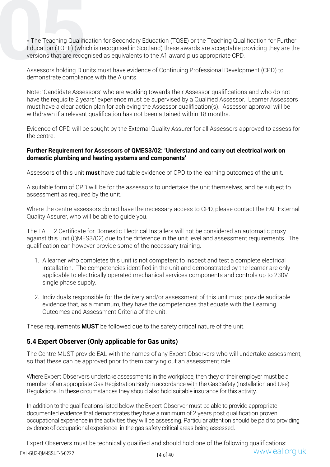**The Teaching Qualification for Secondary Education (TQSE) or the Teaching Qualification for Further Education (TQFE) (which is recognised in Scotland) these awards are acceptable providing they are the versions that are r** Education (TQFE) (which is recognised in Scotland) these awards are acceptable providing they are the versions that are recognised as equivalents to the A1 award plus appropriate CPD.

Assessors holding D units must have evidence of Continuing Professional Development (CPD) to demonstrate compliance with the A units.

Note: 'Candidate Assessors' who are working towards their Assessor qualifications and who do not have the requisite 2 years' experience must be supervised by a Qualified Assessor. Learner Assessors must have a clear action plan for achieving the Assessor qualification(s). Assessor approval will be withdrawn if a relevant qualification has not been attained within 18 months.

Evidence of CPD will be sought by the External Quality Assurer for all Assessors approved to assess for the centre.

#### **Further Requirement for Assessors of QMES3/02: 'Understand and carry out electrical work on domestic plumbing and heating systems and components'**

Assessors of this unit **must** have auditable evidence of CPD to the learning outcomes of the unit.

A suitable form of CPD will be for the assessors to undertake the unit themselves, and be subject to assessment as required by the unit.

Where the centre assessors do not have the necessary access to CPD, please contact the EAL External Quality Assurer, who will be able to guide you.

The EAL L2 Certificate for Domestic Electrical Installers will not be considered an automatic proxy against this unit (QMES3/02) due to the difference in the unit level and assessment requirements. The qualification can however provide some of the necessary training.

- 1. A learner who completes this unit is not competent to inspect and test a complete electrical installation. The competencies identified in the unit and demonstrated by the learner are only applicable to electrically operated mechanical services components and controls up to 230V single phase supply.
- 2. Individuals responsible for the delivery and/or assessment of this unit must provide auditable evidence that, as a minimum, they have the competencies that equate with the Learning Outcomes and Assessment Criteria of the unit.

These requirements **MUST** be followed due to the safety critical nature of the unit.

## **5.4 Expert Observer (Only applicable for Gas units)**

The Centre MUST provide EAL with the names of any Expert Observers who will undertake assessment, so that these can be approved prior to them carrying out an assessment role.

Where Expert Observers undertake assessments in the workplace, then they or their employer must be a member of an appropriate Gas Registration Body in accordance with the Gas Safety (Installation and Use) Regulations. In these circumstances they should also hold suitable insurance for this activity.

In addition to the qualifications listed below, the Expert Observer must be able to provide appropriate documented evidence that demonstrates they have a minimum of 2 years post qualification proven occupational experience in the activities they will be assessing. Particular attention should be paid to providing evidence of occupational experience in the gas safety critical areas being assessed.

Expert Observers must be technically qualified and should hold one of the following qualifications:www.eal.org.uk EAL-GU3-QM-ISSUE-6-0222 14 of 40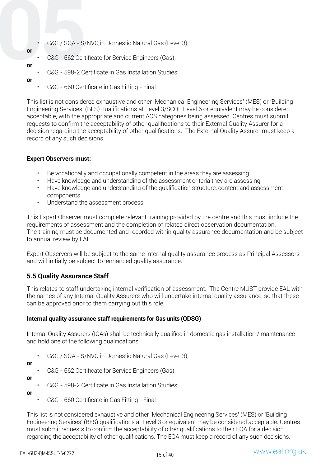- C&G / SQA S/NVQ in Domestic Natural Gas (Level 3);<br> **or**<br> **05** C&G 662 Certificate for Service Engineers (Gas);<br> **07** C&G 598-2 Certificate in Gas Installation Studies;
	- C&G 662 Certificate for Service Engineers (Gas);

**or**

**or**

• C&G - 598-2 Certificate in Gas Installation Studies;

#### **or**

• C&G - 660 Certificate in Gas Fitting - Final

This list is not considered exhaustive and other 'Mechanical Engineering Services' (MES) or 'Building Engineering Services' (BES) qualifications at Level 3/SCQF Level 6 or equivalent may be considered acceptable, with the appropriate and current ACS categories being assessed. Centres must submit requests to confirm the acceptability of other qualifications to their External Quality Assurer for a decision regarding the acceptability of other qualifications. The External Quality Assurer must keep a record of any such decisions.

## **Expert Observers must:**

- Be vocationally and occupationally competent in the areas they are assessing
- Have knowledge and understanding of the assessment criteria they are assessing
- Have knowledge and understanding of the qualification structure, content and assessment components
- Understand the assessment process

This Expert Observer must complete relevant training provided by the centre and this must include the requirements of assessment and the completion of related direct observation documentation. The training must be documented and recorded within quality assurance documentation and be subject to annual review by EAL.

Expert Observers will be subject to the same internal quality assurance process as Principal Assessors and will initially be subject to \* enhanced quality assurance.

## **5.5 Quality Assurance Staff**

This relates to staff undertaking internal verification of assessment. The Centre MUST provide EAL with the names of any Internal Quality Assurers who will undertake internal quality assurance, so that these can be approved prior to them carrying out this role.

## **Internal quality assurance staff requirements for Gas units (QDSG)**

Internal Quality Assurers (IQAs) shall be technically qualified in domestic gas installation / maintenance and hold one of the following qualifications:

• C&G / SQA - S/NVQ in Domestic Natural Gas (Level 3);

#### **or**

- C&G 662 Certificate for Service Engineers (Gas);
- **or**
	- C&G 598-2 Certificate in Gas Installation Studies;

**or**

• C&G - 660 Certificate in Gas Fitting - Final

This list is not considered exhaustive and other 'Mechanical Engineering Services' (MES) or 'Building Engineering Services' (BES) qualifications at Level 3 or equivalent may be considered acceptable. Centres must submit requests to confirm the acceptability of other qualifications to their EQA for a decision regarding the acceptability of other qualifications. The EQA must keep a record of any such decisions.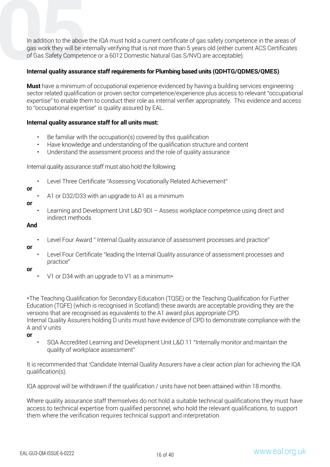In addition to the above the IQA must hold a current certificate of gas safety competence in the areas of<br>gas work they will be internally verifying that is not more than 5 years old (either current ACS Certificates<br>of Gas gas work they will be internally verifying that is not more than 5 years old (either current ACS Certificates of Gas Safety Competence or a 6012 Domestic Natural Gas S/NVQ are acceptable).

#### **Internal quality assurance staff requirements for Plumbing based units (QDHTG/QDMES/QMES)**

**Must** have a minimum of occupational experience evidenced by having a building services engineering sector related qualification or proven sector competence/experience plus access to relevant "occupational expertise" to enable them to conduct their role as internal verifier appropriately. This evidence and access to "occupational expertise" is quality assured by EAL.

#### **Internal quality assurance staff for all units must:**

- Be familiar with the occupation(s) covered by this qualification
- Have knowledge and understanding of the qualification structure and content
- Understand the assessment process and the role of quality assurance

Internal quality assurance staff must also hold the following:

• Level Three Certificate "Assessing Vocationally Related Achievement"

#### **or**

- A1 or D32/D33 with an upgrade to A1 as a minimum
- **or**
	- Learning and Development Unit L&D 9DI Assess workplace competence using direct and indirect methods

#### **And**

- Level Four Award " Internal Quality assurance of assessment processes and practice"
- **or**
- Level Four Certificate "leading the Internal Quality assurance of assessment processes and practice"
- **or**
- V1 or D34 with an upgrade to V1 as a minimum\*

\*The Teaching Qualification for Secondary Education (TQSE) or the Teaching Qualification for Further Education (TQFE) (which is recognised in Scotland) these awards are acceptable providing they are the versions that are recognised as equivalents to the A1 award plus appropriate CPD. Internal Quality Assurers holding D units must have evidence of CPD to demonstrate compliance with the A and V units

**or**

• SQA Accredited Learning and Development Unit L&D 11 "Internally monitor and maintain the quality of workplace assessment"

It is recommended that 'Candidate Internal Quality Assurers have a clear action plan for achieving the IQA qualification(s).

IQA approval will be withdrawn if the qualification / units have not been attained within 18 months.

Where quality assurance staff themselves do not hold a suitable technical qualifications they must have access to technical expertise from qualified personnel, who hold the relevant qualifications, to support them where the verification requires technical support and interpretation.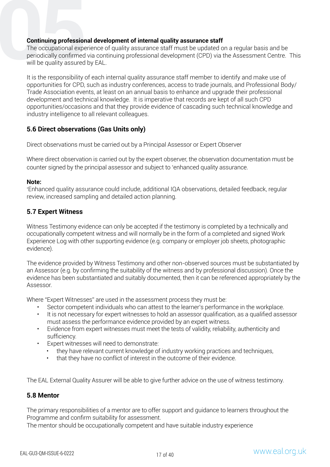**Continuing professional development of internal quality assurance staff**<br>The occupational experience of quality assurance staff must be updated of<br>periodically confirmed via continuing professional development (CPD) via<br>w The occupational experience of quality assurance staff must be updated on a regular basis and be periodically confirmed via continuing professional development (CPD) via the Assessment Centre. This will be quality assured by EAL.

It is the responsibility of each internal quality assurance staff member to identify and make use of opportunities for CPD, such as industry conferences, access to trade journals, and Professional Body/ Trade Association events, at least on an annual basis to enhance and upgrade their professional development and technical knowledge. It is imperative that records are kept of all such CPD opportunities/occasions and that they provide evidence of cascading such technical knowledge and industry intelligence to all relevant colleagues.

#### **5.6 Direct observations (Gas Units only)**

Direct observations must be carried out by a Principal Assessor or Expert Observer

Where direct observation is carried out by the expert observer, the observation documentation must be counter signed by the principal assessor and subject to \* enhanced quality assurance.

#### **Note:**

\* Enhanced quality assurance could include, additional IQA observations, detailed feedback, regular review, increased sampling and detailed action planning.

## **5.7 Expert Witness**

Witness Testimony evidence can only be accepted if the testimony is completed by a technically and occupationally competent witness and will normally be in the form of a completed and signed Work Experience Log with other supporting evidence (e.g. company or employer job sheets, photographic evidence).

The evidence provided by Witness Testimony and other non-observed sources must be substantiated by an Assessor (e.g. by confirming the suitability of the witness and by professional discussion). Once the evidence has been substantiated and suitably documented, then it can be referenced appropriately by the Assessor.

Where "Expert Witnesses" are used in the assessment process they must be:

- Sector competent individuals who can attest to the learner's performance in the workplace.
- It is not necessary for expert witnesses to hold an assessor qualification, as a qualified assessor must assess the performance evidence provided by an expert witness.
- Evidence from expert witnesses must meet the tests of validity, reliability, authenticity and sufficiency.
- Expert witnesses will need to demonstrate:
	- they have relevant current knowledge of industry working practices and techniques,
	- that they have no conflict of interest in the outcome of their evidence.

The EAL External Quality Assurer will be able to give further advice on the use of witness testimony.

#### **5.8 Mentor**

The primary responsibilities of a mentor are to offer support and guidance to learners throughout the Programme and confirm suitability for assessment.

The mentor should be occupationally competent and have suitable industry experience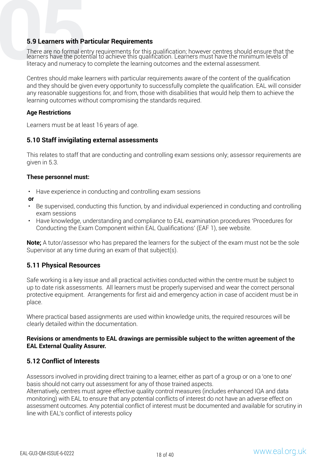**05.9 Learners with Particular Requirements**<br>
There are no formal entry requirements for this dearners have the potential to achieve this qualification<br>
literacy and numeracy to complete the learning There are no formal entry requirements for this qualification; however centres should ensure that the learners have the potential to achieve this qualification. Learners must have the minimum levels of literacy and numeracy to complete the learning outcomes and the external assessment.

Centres should make learners with particular requirements aware of the content of the qualification and they should be given every opportunity to successfully complete the qualification. EAL will consider any reasonable suggestions for, and from, those with disabilities that would help them to achieve the learning outcomes without compromising the standards required.

#### **Age Restrictions**

Learners must be at least 16 years of age.

## **5.10 Staff invigilating external assessments**

This relates to staff that are conducting and controlling exam sessions only; assessor requirements are given in 5.3.

#### **These personnel must:**

- Have experience in conducting and controlling exam sessions
- **or**
- Be supervised, conducting this function, by and individual experienced in conducting and controlling exam sessions
- Have knowledge, understanding and compliance to EAL examination procedures 'Procedures for Conducting the Exam Component within EAL Qualifications' (EAF 1), see website.

**Note:** A tutor/assessor who has prepared the learners for the subject of the exam must not be the sole Supervisor at any time during an exam of that subject(s).

#### **5.11 Physical Resources**

Safe working is a key issue and all practical activities conducted within the centre must be subject to up to date risk assessments. All learners must be properly supervised and wear the correct personal protective equipment. Arrangements for first aid and emergency action in case of accident must be in place.

Where practical based assignments are used within knowledge units, the required resources will be clearly detailed within the documentation.

#### **Revisions or amendments to EAL drawings are permissible subject to the written agreement of the EAL External Quality Assurer.**

## **5.12 Conflict of Interests**

Assessors involved in providing direct training to a learner, either as part of a group or on a 'one to one' basis should not carry out assessment for any of those trained aspects.

Alternatively, centres must agree effective quality control measures (includes enhanced IQA and data monitoring) with EAL to ensure that any potential conflicts of interest do not have an adverse effect on assessment outcomes. Any potential conflict of interest must be documented and available for scrutiny in line with EAL's conflict of interests policy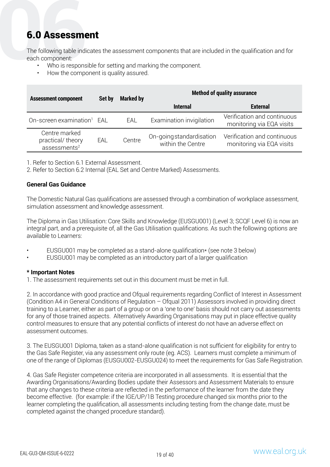**6.0 Assessment**<br>The following table indicate<br>each component:<br>• Who is responsible<br>• How the componen The following table indicates the assessment components that are included in the qualification and for each component:

- Who is responsible for setting and marking the component.
- How the component is quality assured.

| <b>Assessment component</b>                                    | <b>Marked by</b><br>Set by |        |                                               | <b>Method of quality assurance</b>                       |  |  |
|----------------------------------------------------------------|----------------------------|--------|-----------------------------------------------|----------------------------------------------------------|--|--|
|                                                                |                            |        | <b>Internal</b>                               | <b>External</b>                                          |  |  |
| On-screen examination <sup>1</sup>                             | FAI                        | FAI    | Examination invigilation                      | Verification and continuous<br>monitoring via EQA visits |  |  |
| Centre marked<br>practical/ theory<br>assessments <sup>2</sup> | EAL                        | Centre | On-going standardisation<br>within the Centre | Verification and continuous<br>monitoring via EQA visits |  |  |

1. Refer to Section 6.1 External Assessment.

2. Refer to Section 6.2 Internal (EAL Set and Centre Marked) Assessments.

#### **General Gas Guidance**

The Domestic Natural Gas qualifications are assessed through a combination of workplace assessment, simulation assessment and knowledge assessment.

The Diploma in Gas Utilisation: Core Skills and Knowledge (EUSGU001) (Level 3; SCQF Level 6) is now an integral part, and a prerequisite of, all the Gas Utilisation qualifications. As such the following options are available to Learners:

- EUSGU001 may be completed as a stand-alone qualification\* (see note 3 below)
- EUSGU001 may be completed as an introductory part of a larger qualification

#### **\* Important Notes**

1. The assessment requirements set out in this document must be met in full.

2. In accordance with good practice and Ofqual requirements regarding Conflict of Interest in Assessment (Condition A4 in General Conditions of Regulation – Ofqual 2011) Assessors involved in providing direct training to a Learner, either as part of a group or on a 'one to one' basis should not carry out assessments for any of those trained aspects. Alternatively Awarding Organisations may put in place effective quality control measures to ensure that any potential conflicts of interest do not have an adverse effect on assessment outcomes.

3. The EUSGU001 Diploma, taken as a stand-alone qualification is not sufficient for eligibility for entry to the Gas Safe Register, via any assessment only route (eg. ACS). Learners must complete a minimum of one of the range of Diplomas (EUSGU002-EUSGU024) to meet the requirements for Gas Safe Registration.

4. Gas Safe Register competence criteria are incorporated in all assessments. It is essential that the Awarding Organisations/Awarding Bodies update their Assessors and Assessment Materials to ensure that any changes to these criteria are reflected in the performance of the learner from the date they become effective. (for example: if the IGE/UP/1B Testing procedure changed six months prior to the learner completing the qualification, all assessments including testing from the change date, must be completed against the changed procedure standard).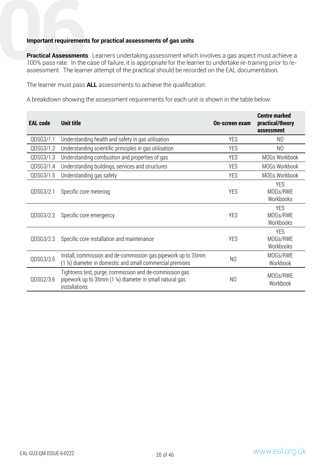**06 Important requirements for practical assessments of gas units<br>
<b>Practical Assessments**: Learners undertaking assessment whic<br>
100% pass rate. In the case of failure, it is appropriate for the learness<br>
assessment. The **Practical Assessments**: Learners undertaking assessment which involves a gas aspect must achieve a 100% pass rate. In the case of failure, it is appropriate for the learner to undertake re-training prior to reassessment. The learner attempt of the practical should be recorded on the EAL documentation.

The learner must pass **ALL** assessments to achieve the qualification.

A breakdown showing the assessment requirements for each unit is shown in the table below:

| <b>EAL</b> code | <b>Unit title</b>                                                                                                                   | On-screen exam | <b>Centre marked</b><br>practical/theory<br>assessment |
|-----------------|-------------------------------------------------------------------------------------------------------------------------------------|----------------|--------------------------------------------------------|
| QDSG3/1.1       | Understanding health and safety in gas utilisation                                                                                  | <b>YES</b>     | N <sub>0</sub>                                         |
| QDSG3/1.2       | Understanding scientific principles in gas utilisation                                                                              | <b>YES</b>     | N <sub>0</sub>                                         |
| QDSG3/1.3       | Understanding combustion and properties of gas                                                                                      | <b>YES</b>     | MOGs Workbook                                          |
| QDSG3/1.4       | Understanding buildings, services and structures                                                                                    | <b>YES</b>     | MOGs Workbook                                          |
| QDSG3/1.5       | Understanding gas safety                                                                                                            | <b>YES</b>     | MOGs Workbook                                          |
| QDSG3/2.1       | Specific core metering                                                                                                              | <b>YES</b>     | <b>YES</b><br>MOGs/RWE<br>Workbooks                    |
| QDSG3/2.2       | Specific core emergency                                                                                                             | <b>YES</b>     | <b>YES</b><br>MOGs/RWE<br>Workbooks                    |
| QDSG3/2.3       | Specific core installation and maintenance                                                                                          | <b>YES</b>     | <b>YES</b><br>MOGs/RWE<br>Workbooks                    |
| QDSG3/3.5       | Install, commission and de-commission gas pipework up to 35mm<br>(1 1/4) diameter in domestic and small commercial premises         | N <sub>0</sub> | MOGs/RWE<br>Workbook                                   |
| QDSG2/3.6       | Tightness test, purge, commission and de-commission gas<br>pipework up to 35mm (1 ¼) diameter in small natural gas<br>installations | N <sub>0</sub> | MOGs/RWE<br>Workbook                                   |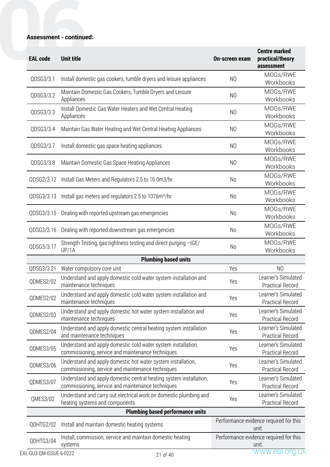|                         | <b>Assessment - continued:</b>                                                                                          |                                        |                                                        |
|-------------------------|-------------------------------------------------------------------------------------------------------------------------|----------------------------------------|--------------------------------------------------------|
| <b>EAL code</b>         | <b>Unit title</b>                                                                                                       | <b>On-screen exam</b>                  | <b>Centre marked</b><br>practical/theory<br>assessment |
| QDSG3/3.1               | Install domestic gas cookers, tumble dryers and leisure appliances                                                      | N <sub>O</sub>                         | MOGs/RWE<br>Workbooks                                  |
| QDSG3/3.2               | Maintain Domestic Gas Cookers, Tumble Dryers and Leisure<br>Appliances                                                  | N <sub>0</sub>                         | MOGs/RWE<br>Workbooks                                  |
| QDSG3/3.3               | Install Domestic Gas Water Heaters and Wet Central Heating<br>Appliances                                                | N <sub>0</sub>                         | MOGs/RWE<br>Workbooks                                  |
| QDSG3/3.4               | Maintain Gas Water Heating and Wet Central Heating Appliances                                                           | N <sub>0</sub>                         | MOGs/RWE<br>Workbooks                                  |
| QDSG3/3.7               | Install domestic gas space heating appliances                                                                           | N <sub>O</sub>                         | MOGs/RWE<br>Workbooks                                  |
| QDSG3/3.8               | Maintain Domestic Gas Space Heating Appliances                                                                          | N <sub>O</sub>                         | MOGs/RWE<br>Workbooks                                  |
|                         | QDSG2/3.12 Install Gas Meters and Regulators 2.5 to 16.0m3/hr                                                           | No                                     | MOGs/RWE<br>Workbooks                                  |
|                         | QDSG3/3.13 Install gas meters and regulators 2.5 to 1076m <sup>3</sup> /hr                                              | N <sub>o</sub>                         | MOGs/RWE<br>Workbooks                                  |
| QDSG3/3.15              | Dealing with reported upstream gas emergencies                                                                          | No                                     | MOGs/RWE<br>Workbooks                                  |
| QDSG3/3.16              | Dealing with reported downstream gas emergencies                                                                        | No                                     | MOGs/RWE<br>Workbooks                                  |
| QDSG3/3.17              | Strength Testing, gas tightness testing and direct purging -IGE/<br>UP/1A                                               | N <sub>o</sub>                         | MOGs/RWE<br>Workbooks                                  |
|                         | <b>Plumbing based units</b>                                                                                             |                                        |                                                        |
| QDSG3/3.21              | Water compulsory core unit                                                                                              | Yes                                    | N <sub>0</sub>                                         |
| QDMES2/02               | Understand and apply domestic cold water system installation and<br>maintenance techniques                              | Yes                                    | Learner's Simulated<br><b>Practical Record</b>         |
| QDMES2/02               | Understand and apply domestic cold water system installation and<br>maintenance techniques                              | Yes                                    | Learner's Simulated<br><b>Practical Record</b>         |
| QDMES2/03               | Understand and apply domestic hot water system installation and<br>maintenance techniques                               | Yes                                    | Learner's Simulated<br><b>Practical Record</b>         |
| QDMES2/04               | Understand and apply domestic central heating system installation<br>and maintenance techniques                         | Yes                                    | Learner's Simulated<br><b>Practical Record</b>         |
| QDMES3/05               | Understand and apply domestic cold water system installation,<br>commissioning, service and maintenance techniques      | Yes                                    | Learner's Simulated<br><b>Practical Record</b>         |
| QDMES3/06               | Understand and apply domestic hot water system installation,<br>commissioning, service and maintenance techniques       | Yes                                    | Learner's Simulated<br><b>Practical Record</b>         |
| QDMES3/07               | Understand and apply domestic central heating system installation,<br>commissioning, service and maintenance techniques | Yes                                    | Learner's Simulated<br><b>Practical Record</b>         |
| <b>QMES3/02</b>         | Understand and carry out electrical work on domestic plumbing and<br>heating systems and components                     | Yes                                    | Learner's Simulated<br><b>Practical Record</b>         |
|                         | <b>Plumbing based performance units</b>                                                                                 |                                        |                                                        |
| QDHTG2/02               | Install and maintain domestic heating systems                                                                           | Performance evidence required for this | unit.                                                  |
| QDHTG3/04               | Install, commission, service and maintain domestic heating<br>systems                                                   | Performance evidence required for this | unit.                                                  |
| EAL-GU3-QM-ISSUE-6-0222 | 21 of 40                                                                                                                |                                        | www.eal.org.uk                                         |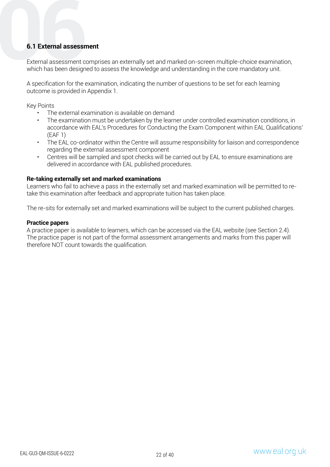**6.1 External assessment**<br>External assessment compr<br>which has been designed to External assessment comprises an externally set and marked on-screen multiple-choice examination, which has been designed to assess the knowledge and understanding in the core mandatory unit.

A specification for the examination, indicating the number of questions to be set for each learning outcome is provided in Appendix 1.

Key Points

- The external examination is available on demand
- The examination must be undertaken by the learner under controlled examination conditions, in accordance with EAL's Procedures for Conducting the Exam Component within EAL Qualifications' (EAF 1)
- The EAL co-ordinator within the Centre will assume responsibility for liaison and correspondence regarding the external assessment component
- Centres will be sampled and spot checks will be carried out by EAL to ensure examinations are delivered in accordance with EAL published procedures.

#### **Re-taking externally set and marked examinations**

Learners who fail to achieve a pass in the externally set and marked examination will be permitted to retake this examination after feedback and appropriate tuition has taken place.

The re-sits for externally set and marked examinations will be subject to the current published charges.

#### **Practice papers**

A practice paper is available to learners, which can be accessed via the EAL website (see Section 2.4). The practice paper is not part of the formal assessment arrangements and marks from this paper will therefore NOT count towards the qualification.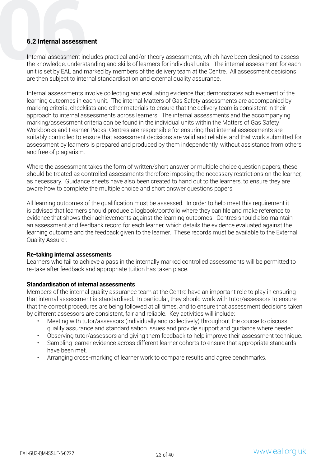**6.2 Internal assessment**<br>
Internal assessment includ<br>
the knowledge, understand<br>
unit is set by EAL and mark Internal assessment includes practical and/or theory assessments, which have been designed to assess the knowledge, understanding and skills of learners for individual units. The internal assessment for each unit is set by EAL and marked by members of the delivery team at the Centre. All assessment decisions are then subject to internal standardisation and external quality assurance.

Internal assessments involve collecting and evaluating evidence that demonstrates achievement of the learning outcomes in each unit. The internal Matters of Gas Safety assessments are accompanied by marking criteria, checklists and other materials to ensure that the delivery team is consistent in their approach to internal assessments across learners. The internal assessments and the accompanying marking/assessment criteria can be found in the individual units within the Matters of Gas Safety Workbooks and Learner Packs. Centres are responsible for ensuring that internal assessments are suitably controlled to ensure that assessment decisions are valid and reliable, and that work submitted for assessment by learners is prepared and produced by them independently, without assistance from others, and free of plagiarism.

Where the assessment takes the form of written/short answer or multiple choice question papers, these should be treated as controlled assessments therefore imposing the necessary restrictions on the learner, as necessary. Guidance sheets have also been created to hand out to the learners, to ensure they are aware how to complete the multiple choice and short answer questions papers.

All learning outcomes of the qualification must be assessed. In order to help meet this requirement it is advised that learners should produce a logbook/portfolio where they can file and make reference to evidence that shows their achievements against the learning outcomes. Centres should also maintain an assessment and feedback record for each learner, which details the evidence evaluated against the learning outcome and the feedback given to the learner. These records must be available to the External Quality Assurer.

#### **Re-taking internal assessments**

Learners who fail to achieve a pass in the internally marked controlled assessments will be permitted to re-take after feedback and appropriate tuition has taken place.

#### **Standardisation of internal assessments**

Members of the internal quality assurance team at the Centre have an important role to play in ensuring that internal assessment is standardised. In particular, they should work with tutor/assessors to ensure that the correct procedures are being followed at all times, and to ensure that assessment decisions taken by different assessors are consistent, fair and reliable. Key activities will include:

- Meeting with tutor/assessors (individually and collectively) throughout the course to discuss quality assurance and standardisation issues and provide support and guidance where needed.
- Observing tutor/assessors and giving them feedback to help improve their assessment technique.
- Sampling learner evidence across different learner cohorts to ensure that appropriate standards have been met.
- Arranging cross-marking of learner work to compare results and agree benchmarks.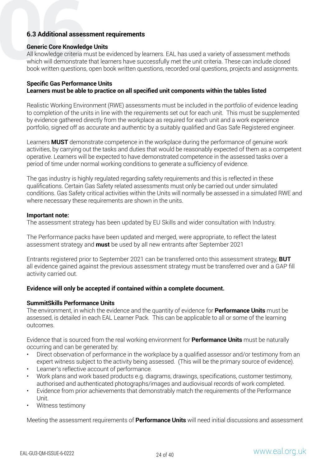#### **Generic Core Knowledge Units**

**6.3 Additional assessment requirements<br>
Generic Core Knowledge Units<br>
All knowledge criteria must be evidenced by le<br>
which will demonstrate that learners have sud<br>
book written questions, open book written que** All knowledge criteria must be evidenced by learners. EAL has used a variety of assessment methods which will demonstrate that learners have successfully met the unit criteria. These can include closed book written questions, open book written questions, recorded oral questions, projects and assignments.

#### **Specific Gas Performance Units Learners must be able to practice on all specified unit components within the tables listed**

Realistic Working Environment (RWE) assessments must be included in the portfolio of evidence leading to completion of the units in line with the requirements set out for each unit. This must be supplemented by evidence gathered directly from the workplace as required for each unit and a work experience portfolio, signed off as accurate and authentic by a suitably qualified and Gas Safe Registered engineer.

Learners **MUST** demonstrate competence in the workplace during the performance of genuine work activities, by carrying out the tasks and duties that would be reasonably expected of them as a competent operative. Learners will be expected to have demonstrated competence in the assessed tasks over a period of time under normal working conditions to generate a sufficiency of evidence.

The gas industry is highly regulated regarding safety requirements and this is reflected in these qualifications. Certain Gas Safety related assessments must only be carried out under simulated conditions. Gas Safety critical activities within the Units will normally be assessed in a simulated RWE and where necessary these requirements are shown in the units.

#### **Important note:**

The assessment strategy has been updated by EU Skills and wider consultation with Industry.

The Performance packs have been updated and merged, were appropriate, to reflect the latest assessment strategy and **must** be used by all new entrants after September 2021

Entrants registered prior to September 2021 can be transferred onto this assessment strategy, **BUT** all evidence gained against the previous assessment strategy must be transferred over and a GAP fill activity carried out.

#### **Evidence will only be accepted if contained within a complete document.**

#### **SummitSkills Performance Units**

The environment, in which the evidence and the quantity of evidence for **Performance Units** must be assessed, is detailed in each EAL Learner Pack. This can be applicable to all or some of the learning outcomes.

Evidence that is sourced from the real working environment for **Performance Units** must be naturally occurring and can be generated by:

- Direct observation of performance in the workplace by a qualified assessor and/or testimony from an expert witness subject to the activity being assessed. (This will be the primary source of evidence).
- Learner's reflective account of performance.
- Work plans and work based products e.g. diagrams, drawings, specifications, customer testimony, authorised and authenticated photographs/images and audiovisual records of work completed.
- Evidence from prior achievements that demonstrably match the requirements of the Performance Unit.
- Witness testimony

Meeting the assessment requirements of **Performance Units** will need initial discussions and assessment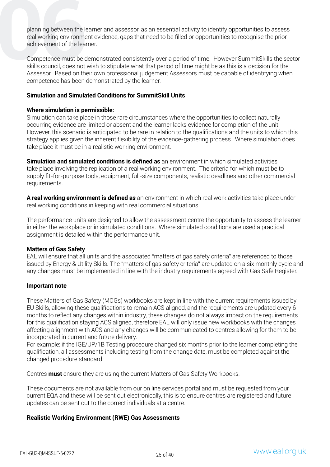planning between the learner and assessor, as an essential activity to identify opportunities to assess<br>real working environment evidence, gaps that need to be filled or opportunities to recognise the prior<br>achievement of real working environment evidence, gaps that need to be filled or opportunities to recognise the prior achievement of the learner.

Competence must be demonstrated consistently over a period of time. However SummitSkills the sector skills council, does not wish to stipulate what that period of time might be as this is a decision for the Assessor. Based on their own professional judgement Assessors must be capable of identifying when competence has been demonstrated by the learner.

#### **Simulation and Simulated Conditions for SummitSkill Units**

#### **Where simulation is permissible:**

Simulation can take place in those rare circumstances where the opportunities to collect naturally occurring evidence are limited or absent and the learner lacks evidence for completion of the unit. However, this scenario is anticipated to be rare in relation to the qualifications and the units to which this strategy applies given the inherent flexibility of the evidence-gathering process. Where simulation does take place it must be in a realistic working environment.

**Simulation and simulated conditions is defined as** an environment in which simulated activities take place involving the replication of a real working environment. The criteria for which must be to supply fit-for-purpose tools, equipment, full-size components, realistic deadlines and other commercial requirements.

**A real working environment is defined as** an environment in which real work activities take place under real working conditions in keeping with real commercial situations.

The performance units are designed to allow the assessment centre the opportunity to assess the learner in either the workplace or in simulated conditions. Where simulated conditions are used a practical assignment is detailed within the performance unit.

#### **Matters of Gas Safety**

EAL will ensure that all units and the associated "matters of gas safety criteria" are referenced to those issued by Energy & Utility Skills. The "matters of gas safety criteria" are updated on a six monthly cycle and any changes must be implemented in line with the industry requirements agreed with Gas Safe Register.

#### **Important note**

These Matters of Gas Safety (MOGs) workbooks are kept in line with the current requirements issued by EU Skills, allowing these qualifications to remain ACS aligned, and the requirements are updated every 6 months to reflect any changes within industry, these changes do not always impact on the requirements for this qualification staying ACS aligned, therefore EAL will only issue new workbooks with the changes affecting alignment with ACS and any changes will be communicated to centres allowing for them to be incorporated in current and future delivery.

For example: if the IGE/UP/1B Testing procedure changed six months prior to the learner completing the qualification, all assessments including testing from the change date, must be completed against the changed procedure standard

Centres **must** ensure they are using the current Matters of Gas Safety Workbooks.

These documents are not available from our on line services portal and must be requested from your current EQA and these will be sent out electronically, this is to ensure centres are registered and future updates can be sent out to the correct individuals at a centre.

#### **Realistic Working Environment (RWE) Gas Assessments**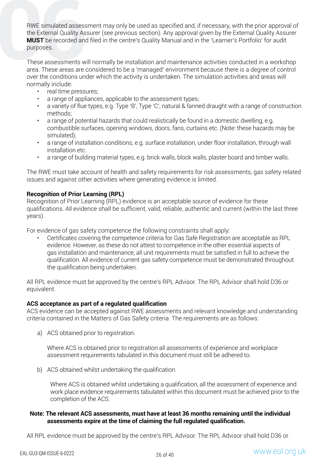**EXECUTE:**<br> **EXECUTE:**<br> **EXECUTE:**<br> **CONFIDENT** Assure (see previous section). Any approval given by the External Quality Assurer<br> **MUST** be recorded and filed in the centre's Quality Manual and in the 'Learner's Portfolio the External Quality Assurer (see previous section). Any approval given by the External Quality Assurer **MUST** be recorded and filed in the centre's Quality Manual and in the 'Learner's Portfolio' for audit purposes.

These assessments will normally be installation and maintenance activities conducted in a workshop area. These areas are considered to be a 'managed' environment because there is a degree of control over the conditions under which the activity is undertaken. The simulation activities and areas will normally include:

- real time pressures;
- a range of appliances, applicable to the assessment types;
- a variety of flue types, e.g. Type 'B', Type 'C', natural & fanned draught with a range of construction methods;
- a range of potential hazards that could realistically be found in a domestic dwelling, e.g. combustible surfaces, opening windows, doors, fans, curtains etc. (Note: these hazards may be simulated);
- a range of installation conditions, e.g. surface installation, under floor installation, through wall installation etc.
- a range of building material types, e.g. brick walls, block walls, plaster board and timber walls.

The RWE must take account of health and safety requirements for risk assessments, gas safety related issues and against other activities where generating evidence is limited.

#### **Recognition of Prior Learning (RPL)**

Recognition of Prior Learning (RPL) evidence is an acceptable source of evidence for these qualifications. All evidence shall be sufficient, valid, reliable, authentic and current (within the last three years).

For evidence of gas safety competence the following constraints shall apply:

• Certificates covering the competence criteria for Gas Safe Registration are acceptable as RPL evidence. However, as these do not attest to competence in the other essential aspects of gas installation and maintenance, all unit requirements must be satisfied in full to achieve the qualification. All evidence of current gas safety competence must be demonstrated throughout the qualification being undertaken.

All RPL evidence must be approved by the centre's RPL Advisor. The RPL Advisor shall hold D36 or equivalent.

#### **ACS acceptance as part of a regulated qualification**

ACS evidence can be accepted against RWE assessments and relevant knowledge and understanding criteria contained in the Matters of Gas Safety criteria. The requirements are as follows:

a) ACS obtained prior to registration.

Where ACS is obtained prior to registration all assessments of experience and workplace assessment requirements tabulated in this document must still be adhered to.

b) ACS obtained whilst undertaking the qualification.

Where ACS is obtained whilst undertaking a qualification, all the assessment of experience and work place evidence requirements tabulated within this document must be achieved prior to the completion of the ACS.

#### **Note: The relevant ACS assessments, must have at least 36 months remaining until the individual assessments expire at the time of claiming the full regulated qualification.**

All RPL evidence must be approved by the centre's RPL Advisor. The RPL Advisor shall hold D36 or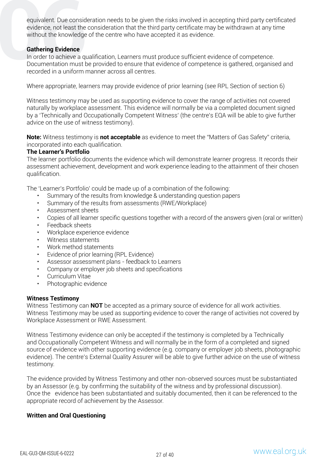equivalent. Due consideration needs to be given the risks involved in accepting third party certificated evidence, not least the consideration that the third party certificate may be withdrawn at any time without the knowl evidence, not least the consideration that the third party certificate may be withdrawn at any time without the knowledge of the centre who have accepted it as evidence.

#### **Gathering Evidence**

In order to achieve a qualification, Learners must produce sufficient evidence of competence. Documentation must be provided to ensure that evidence of competence is gathered, organised and recorded in a uniform manner across all centres.

Where appropriate, learners may provide evidence of prior learning (see RPL Section of section 6)

Witness testimony may be used as supporting evidence to cover the range of activities not covered naturally by workplace assessment. This evidence will normally be via a completed document signed by a 'Technically and Occupationally Competent Witness' (the centre's EQA will be able to give further advice on the use of witness testimony).

**Note:** Witness testimony is **not acceptable** as evidence to meet the "Matters of Gas Safety" criteria, incorporated into each qualification.

#### **The Learner's Portfolio**

The learner portfolio documents the evidence which will demonstrate learner progress. It records their assessment achievement, development and work experience leading to the attainment of their chosen qualification.

The 'Learner's Portfolio' could be made up of a combination of the following:

- Summary of the results from knowledge & understanding question papers
- Summary of the results from assessments (RWE/Workplace)
- Assessment sheets
- Copies of all learner specific questions together with a record of the answers given (oral or written)
- Feedback sheets
- Workplace experience evidence
- Witness statements
- Work method statements
- Evidence of prior learning (RPL Evidence)
- Assessor assessment plans feedback to Learners
- Company or employer job sheets and specifications
- Curriculum Vitae
- Photographic evidence

#### **Witness Testimony**

Witness Testimony can **NOT** be accepted as a primary source of evidence for all work activities. Witness Testimony may be used as supporting evidence to cover the range of activities not covered by Workplace Assessment or RWE Assessment.

Witness Testimony evidence can only be accepted if the testimony is completed by a Technically and Occupationally Competent Witness and will normally be in the form of a completed and signed source of evidence with other supporting evidence (e.g. company or employer job sheets, photographic evidence). The centre's External Quality Assurer will be able to give further advice on the use of witness testimony.

The evidence provided by Witness Testimony and other non-observed sources must be substantiated by an Assessor (e.g. by confirming the suitability of the witness and by professional discussion). Once the evidence has been substantiated and suitably documented, then it can be referenced to the appropriate record of achievement by the Assessor.

#### **Written and Oral Questioning**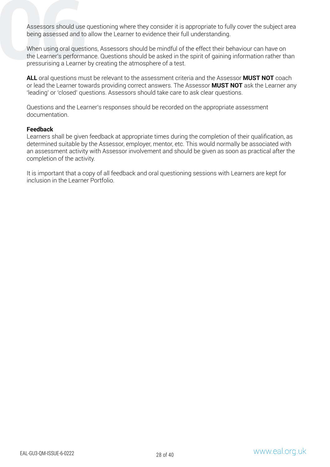being assessed and to allow the Learner to evidence their full understanding.

Assessors should use questioning where they consider it is appropriate to fully cover the subject area<br>being assessed and to allow the Learner to evidence their full understanding.<br>When using oral questions, Assessors shou When using oral questions, Assessors should be mindful of the effect their behaviour can have on the Learner's performance. Questions should be asked in the spirit of gaining information rather than pressurising a Learner by creating the atmosphere of a test.

**ALL** oral questions must be relevant to the assessment criteria and the Assessor **MUST NOT** coach or lead the Learner towards providing correct answers. The Assessor **MUST NOT** ask the Learner any 'leading' or 'closed' questions. Assessors should take care to ask clear questions.

Questions and the Learner's responses should be recorded on the appropriate assessment documentation.

#### **Feedback**

Learners shall be given feedback at appropriate times during the completion of their qualification, as determined suitable by the Assessor, employer, mentor, etc. This would normally be associated with an assessment activity with Assessor involvement and should be given as soon as practical after the completion of the activity.

It is important that a copy of all feedback and oral questioning sessions with Learners are kept for inclusion in the Learner Portfolio.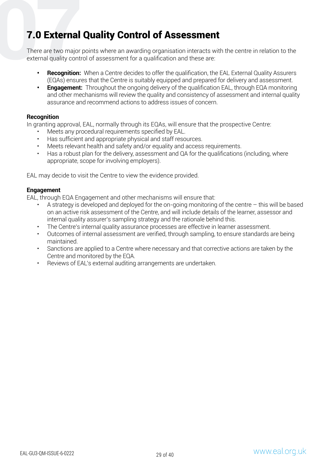# **07**7.0 External Quality Control of Assessment

There are two major points where an awarding organisation interacts with the centre in relation to the external quality control of assessment for a qualification and these are:

- **• Recognition:** When a Centre decides to offer the qualification, the EAL External Quality Assurers (EQAs) ensures that the Centre is suitably equipped and prepared for delivery and assessment.
- **• Engagement:** Throughout the ongoing delivery of the qualification EAL, through EQA monitoring and other mechanisms will review the quality and consistency of assessment and internal quality assurance and recommend actions to address issues of concern.

## **Recognition**

In granting approval, EAL, normally through its EQAs, will ensure that the prospective Centre:

- Meets any procedural requirements specified by EAL.
- Has sufficient and appropriate physical and staff resources.
- Meets relevant health and safety and/or equality and access requirements.
- Has a robust plan for the delivery, assessment and QA for the qualifications (including, where appropriate, scope for involving employers).

EAL may decide to visit the Centre to view the evidence provided.

#### **Engagement**

EAL, through EQA Engagement and other mechanisms will ensure that:

- A strategy is developed and deployed for the on-going monitoring of the centre  $-$  this will be based on an active risk assessment of the Centre, and will include details of the learner, assessor and internal quality assurer's sampling strategy and the rationale behind this.
- The Centre's internal quality assurance processes are effective in learner assessment.
- Outcomes of internal assessment are verified, through sampling, to ensure standards are being maintained.
- Sanctions are applied to a Centre where necessary and that corrective actions are taken by the Centre and monitored by the EQA.
- Reviews of EAL's external auditing arrangements are undertaken.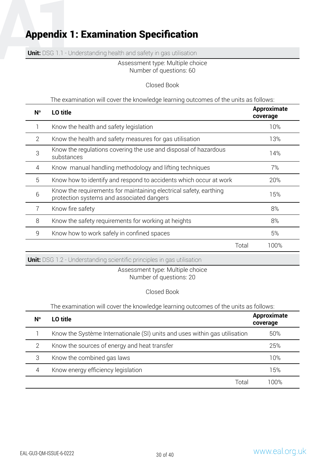**Unit:** DSG 1.1 - Understanding health and safety in gas utilisation

#### Assessment type: Multiple choice Number of questions: 60

#### Closed Book

The examination will cover the knowledge learning outcomes of the units as follows:

| $N^{\circ}$    | LO title                                                                                                       | Approximate<br>coverage |
|----------------|----------------------------------------------------------------------------------------------------------------|-------------------------|
|                | Know the health and safety legislation                                                                         | 10%                     |
| $\overline{2}$ | Know the health and safety measures for gas utilisation                                                        | 13%                     |
| 3              | Know the regulations covering the use and disposal of hazardous<br>substances                                  | 14%                     |
| 4              | Know manual handling methodology and lifting techniques                                                        | 7%                      |
| 5              | Know how to identify and respond to accidents which occur at work                                              | 20%                     |
| 6              | Know the requirements for maintaining electrical safety, earthing<br>protection systems and associated dangers | 15%                     |
| 7              | Know fire safety                                                                                               | 8%                      |
| 8              | Know the safety requirements for working at heights                                                            | 8%                      |
| 9              | Know how to work safely in confined spaces                                                                     | 5%                      |
|                |                                                                                                                | 100%<br>Total           |
|                |                                                                                                                |                         |

**Unit:** DSG 1.2 - Understanding scientific principles in gas utilisation

#### Assessment type: Multiple choice Number of questions: 20

Closed Book

| Ν° | LO title                                                                   | Approximate<br>coverage |
|----|----------------------------------------------------------------------------|-------------------------|
|    | Know the Système Internationale (SI) units and uses within gas utilisation | 50%                     |
| っ  | Know the sources of energy and heat transfer                               | 25%                     |
| 3  | Know the combined gas laws                                                 | 10%                     |
| 4  | Know energy efficiency legislation                                         | 15%                     |
|    | Total                                                                      | 1በበ%                    |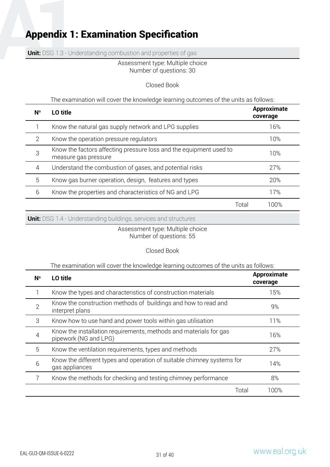**Unit:** DSG 1.3 - Understanding combustion and properties of gas

Assessment type: Multiple choice Number of questions: 30

#### Closed Book

The examination will cover the knowledge learning outcomes of the units as follows:

| $N^{\circ}$    | LO title                                                                                   | Approximate<br>coverage |
|----------------|--------------------------------------------------------------------------------------------|-------------------------|
|                | Know the natural gas supply network and LPG supplies                                       | 16%                     |
| $\overline{2}$ | Know the operation pressure regulators                                                     | 10%                     |
| 3              | Know the factors affecting pressure loss and the equipment used to<br>measure gas pressure | 10%                     |
| 4              | Understand the combustion of gases, and potential risks                                    | 27%                     |
| 5              | Know gas burner operation, design, features and types                                      | 20%                     |
| 6              | Know the properties and characteristics of NG and LPG                                      | 17%                     |
|                | Total                                                                                      | 100%                    |
|                |                                                                                            |                         |

**Unit:** DSG 1.4 - Understanding buildings, services and structures

Assessment type: Multiple choice Number of questions: 55

#### Closed Book

| $N^{\circ}$    | LO title                                                                                   | Approximate<br>coverage |
|----------------|--------------------------------------------------------------------------------------------|-------------------------|
|                | Know the types and characteristics of construction materials                               | 15%                     |
| $\overline{2}$ | Know the construction methods of buildings and how to read and<br>interpret plans          | 9%                      |
| 3              | Know how to use hand and power tools within gas utilisation                                | 11%                     |
| 4              | Know the installation requirements, methods and materials for gas<br>pipework (NG and LPG) | 16%                     |
| 5              | Know the ventilation requirements, types and methods                                       | 27%                     |
| 6              | Know the different types and operation of suitable chimney systems for<br>gas appliances   | 14%                     |
|                | Know the methods for checking and testing chimney performance                              | 8%                      |
|                | Total                                                                                      | 100%                    |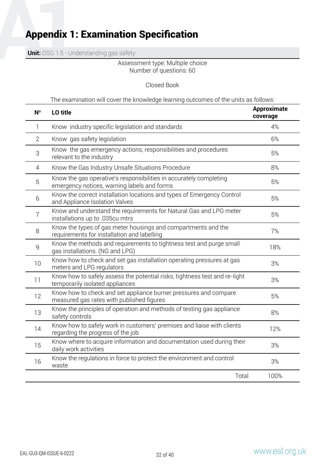**Unit:** DSG 1.5 - Understanding gas safety

#### Assessment type: Multiple choice Number of questions: 60

#### Closed Book

| $N^{\circ}$    | LO title                                                                                                          | <b>Approximate</b><br>coverage |
|----------------|-------------------------------------------------------------------------------------------------------------------|--------------------------------|
| $\mathbf{1}$   | Know industry specific legislation and standards                                                                  | 4%                             |
| $\overline{2}$ | Know gas safety legislation                                                                                       | 6%                             |
| 3              | Know the gas emergency actions, responsibilities and procedures<br>relevant to the industry                       | 5%                             |
| $\overline{4}$ | Know the Gas Industry Unsafe Situations Procedure                                                                 | 8%                             |
| 5              | Know the gas operative's responsibilities in accurately completing<br>emergency notices, warning labels and forms | 5%                             |
| 6              | Know the correct installation locations and types of Emergency Control<br>and Appliance Isolation Valves          | 5%                             |
| 7              | Know and understand the requirements for Natural Gas and LPG meter<br>installations up to .035cu mtrs             | 5%                             |
| 8              | Know the types of gas meter housings and compartments and the<br>requirements for installation and labelling      | 7%                             |
| 9              | Know the methods and requirements to tightness test and purge small<br>gas installations. (NG and LPG)            | 18%                            |
| 10             | Know how to check and set gas installation operating pressures at gas<br>meters and LPG regulators                | 3%                             |
| 11             | Know how to safely assess the potential risks, tightness test and re-light<br>temporarily isolated appliances     | 3%                             |
| 12             | Know how to check and set appliance burner pressures and compare<br>measured gas rates with published figures     | 5%                             |
| 13             | Know the principles of operation and methods of testing gas appliance<br>safety controls                          | 8%                             |
| 14             | Know how to safely work in customers' premises and liaise with clients<br>regarding the progress of the job       | 12%                            |
| 15             | Know where to acquire information and documentation used during their<br>daily work activities                    | 3%                             |
| 16             | Know the regulations in force to protect the environment and control<br>waste                                     | 3%                             |
|                | Total                                                                                                             | 100%                           |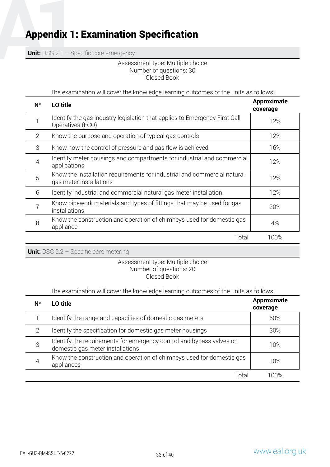**Unit:** DSG 2.1 - Specific core emergency

#### Assessment type: Multiple choice Number of questions: 30 Closed Book

The examination will cover the knowledge learning outcomes of the units as follows:

| $N^{\circ}$    | LO title                                                                                            | <b>Approximate</b><br>coverage |
|----------------|-----------------------------------------------------------------------------------------------------|--------------------------------|
|                | Identify the gas industry legislation that applies to Emergency First Call<br>Operatives (FCO)      | 12%                            |
| $\overline{2}$ | Know the purpose and operation of typical gas controls                                              | 12%                            |
| 3              | Know how the control of pressure and gas flow is achieved                                           | 16%                            |
| $\overline{4}$ | Identify meter housings and compartments for industrial and commercial<br>applications              | 12%                            |
| 5              | Know the installation requirements for industrial and commercial natural<br>gas meter installations | 12%                            |
| 6              | Identify industrial and commercial natural gas meter installation                                   | 12%                            |
| $\overline{7}$ | Know pipework materials and types of fittings that may be used for gas<br>installations             | 20%                            |
| 8              | Know the construction and operation of chimneys used for domestic gas<br>appliance                  | 4%                             |
|                | Total                                                                                               | 100%                           |

**Unit:** DSG 2.2 - Specific core metering

#### Assessment type: Multiple choice Number of questions: 20 Closed Book

| Ν° | LO title                                                                                                 | Approximate<br>coverage |
|----|----------------------------------------------------------------------------------------------------------|-------------------------|
|    | Identify the range and capacities of domestic gas meters                                                 | 50%                     |
| ⌒  | Identify the specification for domestic gas meter housings                                               | 30%                     |
| 3  | Identify the requirements for emergency control and bypass valves on<br>domestic gas meter installations | 10%                     |
| 4  | Know the construction and operation of chimneys used for domestic gas<br>appliances                      | 10%                     |
|    | Tota                                                                                                     | በበባ%                    |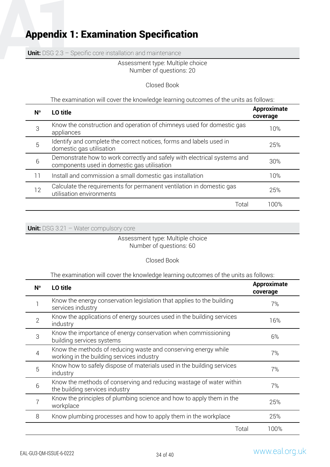**Unit:** DSG 2.3 – Specific core installation and maintenance

#### Assessment type: Multiple choice Number of questions: 20

#### Closed Book

The examination will cover the knowledge learning outcomes of the units as follows:

| $N^{\circ}$ | LO title                                                                                                                | Approximate<br>coverage |
|-------------|-------------------------------------------------------------------------------------------------------------------------|-------------------------|
| 3           | Know the construction and operation of chimneys used for domestic gas<br>appliances                                     | 10%                     |
| 5           | Identify and complete the correct notices, forms and labels used in<br>domestic gas utilisation                         | 25%                     |
| 6           | Demonstrate how to work correctly and safely with electrical systems and<br>components used in domestic gas utilisation | 30%                     |
| 11          | Install and commission a small domestic gas installation                                                                | 10%                     |
| 12          | Calculate the requirements for permanent ventilation in domestic gas<br>utilisation environments                        | 25%                     |
|             | Total                                                                                                                   | 1በበ%                    |

**Unit:** DSG 3.21 – Water compulsory core

#### Assessment type: Multiple choice Number of questions: 60

#### Closed Book

| N°             | LO title                                                                                                    | <b>Approximate</b><br>coverage |
|----------------|-------------------------------------------------------------------------------------------------------------|--------------------------------|
|                | Know the energy conservation legislation that applies to the building<br>services industry                  | 7%                             |
| $\overline{2}$ | Know the applications of energy sources used in the building services<br>industry                           | 16%                            |
| 3              | Know the importance of energy conservation when commissioning<br>building services systems                  | 6%                             |
| 4              | Know the methods of reducing waste and conserving energy while<br>working in the building services industry | 7%                             |
| 5              | Know how to safely dispose of materials used in the building services<br>industry                           | 7%                             |
| 6              | Know the methods of conserving and reducing wastage of water within<br>the building services industry       | 7%                             |
|                | Know the principles of plumbing science and how to apply them in the<br>workplace                           | 25%                            |
| 8              | Know plumbing processes and how to apply them in the workplace                                              | 25%                            |
|                | Total                                                                                                       | 100%                           |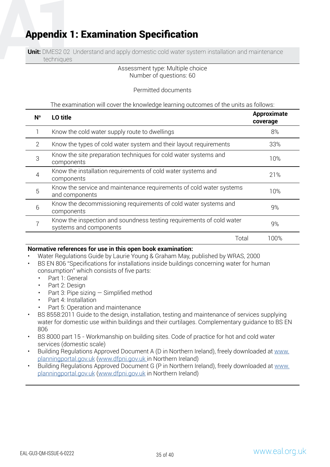**Unit:** DMES2 02 Understand and apply domestic cold water system installation and maintenance techniques

> Assessment type: Multiple choice Number of questions: 60

#### Permitted documents

The examination will cover the knowledge learning outcomes of the units as follows:

| $N^{\circ}$    | LO title                                                                                       | <b>Approximate</b><br>coverage |
|----------------|------------------------------------------------------------------------------------------------|--------------------------------|
|                | Know the cold water supply route to dwellings                                                  | 8%                             |
| $\overline{2}$ | Know the types of cold water system and their layout requirements                              | 33%                            |
| 3              | Know the site preparation techniques for cold water systems and<br>components                  | 10%                            |
| 4              | Know the installation requirements of cold water systems and<br>components                     | 21%                            |
| 5              | Know the service and maintenance requirements of cold water systems<br>and components          | 10%                            |
| 6              | Know the decommissioning requirements of cold water systems and<br>components                  | 9%                             |
|                | Know the inspection and soundness testing requirements of cold water<br>systems and components | 9%                             |
|                | Total                                                                                          | 100%                           |

#### **Normative references for use in this open book examination:**

- Water Regulations Guide by Laurie Young & Graham May, published by WRAS, 2000
- BS EN 806 "Specifications for installations inside buildings concerning water for human consumption" which consists of five parts:
	- Part 1: General
	- Part 2: Design
	- Part 3: Pipe sizing  $-$  Simplified method
	- Part 4: Installation
	- Part 5: Operation and maintenance
- BS 8558:2011 Guide to the design, installation, testing and maintenance of services supplying water for domestic use within buildings and their curtilages. Complementary guidance to BS EN 806
- BS 8000 part 15 Workmanship on building sites. Code of practice for hot and cold water services (domestic scale)
- Building Regulations Approved Document A (D in Northern Ireland), freely downloaded at [www.](http://www.planningportal.gov.uk) [planningportal.gov.uk](http://www.planningportal.gov.uk) [\(www.dfpni.gov.uk](http://www.dfpni.gov.uk ) in Northern Ireland)
- Building Regulations Approved Document G (P in Northern Ireland), freely downloaded at [www.](http://www.planningportal.gov.uk) [planningportal.gov.uk](http://www.planningportal.gov.uk) [\(www.dfpni.gov.uk](http://www.dfpni.gov.uk) in Northern Ireland)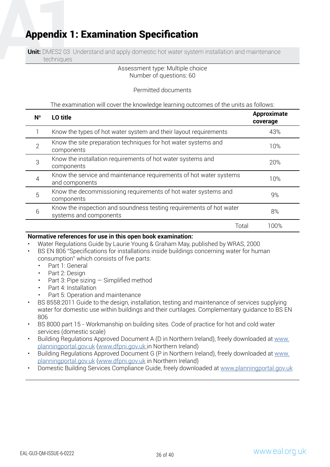**Unit:** DMES2 03 Understand and apply domestic hot water system installation and maintenance techniques

> Assessment type: Multiple choice Number of questions: 60

#### Permitted documents

The examination will cover the knowledge learning outcomes of the units as follows:

| $N^{\circ}$   | LO title                                                                                      | Approximate<br>coverage |
|---------------|-----------------------------------------------------------------------------------------------|-------------------------|
|               | Know the types of hot water system and their layout requirements                              | 43%                     |
| $\mathcal{P}$ | Know the site preparation techniques for hot water systems and<br>components                  | 10%                     |
| 3             | Know the installation requirements of hot water systems and<br>components                     | 20%                     |
| 4             | Know the service and maintenance requirements of hot water systems<br>and components          | 10%                     |
| 5             | Know the decommissioning requirements of hot water systems and<br>components                  | 9%                      |
| 6             | Know the inspection and soundness testing requirements of hot water<br>systems and components | 8%                      |
|               | Total                                                                                         | 100%                    |

#### **Normative references for use in this open book examination:**

- Water Regulations Guide by Laurie Young & Graham May, published by WRAS, 2000
- BS EN 806 "Specifications for installations inside buildings concerning water for human consumption" which consists of five parts:
	- Part 1: General
	- Part 2: Design
	- Part 3: Pipe sizing  $-$  Simplified method
	- Part 4: Installation
	- Part 5: Operation and maintenance
- BS 8558:2011 Guide to the design, installation, testing and maintenance of services supplying water for domestic use within buildings and their curtilages. Complementary guidance to BS EN 806
- BS 8000 part 15 Workmanship on building sites. Code of practice for hot and cold water services (domestic scale)
- Building Regulations Approved Document A (D in Northern Ireland), freely downloaded at [www.](http://www.planningportal.gov.uk) [planningportal.gov.uk](http://www.planningportal.gov.uk) [\(www.dfpni.gov.uk](http://www.dfpni.gov.uk ) in Northern Ireland)
- Building Regulations Approved Document G (P in Northern Ireland), freely downloaded at [www.](http://www.planningportal.gov.uk) [planningportal.gov.uk](http://www.planningportal.gov.uk) [\(www.dfpni.gov.uk](http://www.dfpni.gov.uk) in Northern Ireland)
- Domestic Building Services Compliance Guide, freely downloaded at [www.planningportal.gov.uk](http://www.planningportal.gov.uk )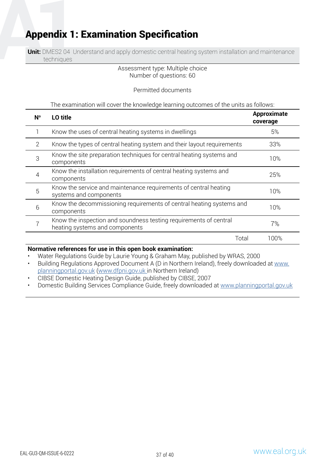**Unit:** DMES2 04 Understand and apply domestic central heating system installation and maintenance techniques

> Assessment type: Multiple choice Number of questions: 60

#### Permitted documents

The examination will cover the knowledge learning outcomes of the units as follows:

| $N^{\circ}$ | LO title                                                                                            | Approximate<br>coverage |
|-------------|-----------------------------------------------------------------------------------------------------|-------------------------|
|             | Know the uses of central heating systems in dwellings                                               | 5%                      |
| 2           | Know the types of central heating system and their layout requirements                              | 33%                     |
| 3           | Know the site preparation techniques for central heating systems and<br>components                  | 10%                     |
| 4           | Know the installation requirements of central heating systems and<br>components                     | 25%                     |
| 5           | Know the service and maintenance requirements of central heating<br>systems and components          | 10%                     |
| 6           | Know the decommissioning requirements of central heating systems and<br>components                  | 10%                     |
|             | Know the inspection and soundness testing requirements of central<br>heating systems and components | 7%                      |
|             | Total                                                                                               | 100%                    |

#### **Normative references for use in this open book examination:**

• Water Regulations Guide by Laurie Young & Graham May, published by WRAS, 2000

Building Regulations Approved Document A (D in Northern Ireland), freely downloaded at [www.](http://www.planningportal.gov.uk) [planningportal.gov.uk](http://www.planningportal.gov.uk) [\(www.dfpni.gov.uk](http://www.dfpni.gov.uk ) in Northern Ireland)

- CIBSE Domestic Heating Design Guide, published by CIBSE, 2007
- Domestic Building Services Compliance Guide, freely downloaded at [www.planningportal.gov.uk](http://www.planningportal.gov.uk )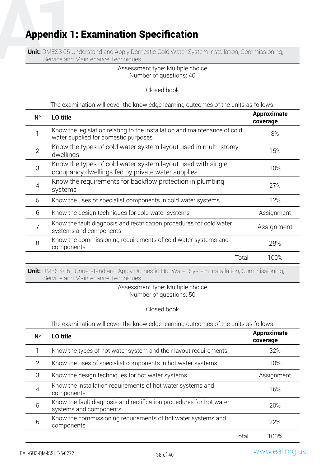**Unit:** DMES3 05 Understand and Apply Domestic Cold Water System Installation, Commissioning, Service and Maintenance Techniques

> Assessment type: Multiple choice Number of questions: 40

> > Closed book

The examination will cover the knowledge learning outcomes of the units as follows:

| Ν°             | LO title                                                                                                          | <b>Approximate</b><br>coverage |
|----------------|-------------------------------------------------------------------------------------------------------------------|--------------------------------|
|                | Know the legislation relating to the installation and maintenance of cold<br>water supplied for domestic purposes | 8%                             |
| $\overline{2}$ | Know the types of cold water system layout used in multi-storey<br>dwellings                                      | 15%                            |
| 3              | Know the types of cold water system layout used with single<br>occupancy dwellings fed by private water supplies  | 10%                            |
| $\overline{4}$ | Know the requirements for backflow protection in plumbing<br>systems                                              | 27%                            |
| 5              | Know the uses of specialist components in cold water systems                                                      | 12%                            |
| 6              | Know the design techniques for cold water systems                                                                 | Assignment                     |
|                | Know the fault diagnosis and rectification procedures for cold water<br>systems and components                    | Assignment                     |
| 8              | Know the commissioning requirements of cold water systems and<br>components                                       | 28%                            |
|                | Total                                                                                                             | 100%                           |

**Unit:** DMES3 06 - Understand and Apply Domestic Hot Water System Installation, Commissioning, Service and Maintenance Techniques

> Assessment type: Multiple choice Number of questions: 50

> > Closed book

| $N^{\circ}$ | LO title                                                                                      |       | Approximate<br>coverage |
|-------------|-----------------------------------------------------------------------------------------------|-------|-------------------------|
|             | Know the types of hot water system and their layout requirements                              |       | 32%                     |
| 2           | Know the uses of specialist components in hot water systems                                   |       | 10%                     |
| 3           | Know the design techniques for hot water systems                                              |       | Assignment              |
| 4           | Know the installation requirements of hot water systems and<br>components                     |       | 16%                     |
| 5           | Know the fault diagnosis and rectification procedures for hot water<br>systems and components |       | 20%                     |
| 6           | Know the commissioning requirements of hot water systems and<br>components                    |       | 22%                     |
|             |                                                                                               | Total | 100%                    |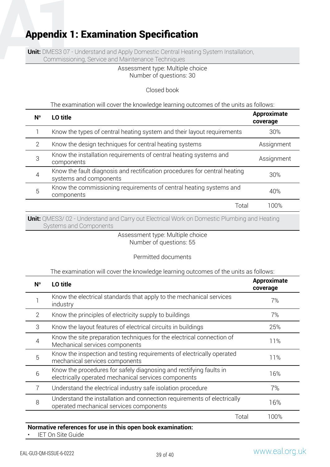**Unit:** DMES3 07 - Understand and Apply Domestic Central Heating System Installation, Commissioning, Service and Maintenance Techniques

#### Assessment type: Multiple choice Number of questions: 30

#### Closed book

The examination will cover the knowledge learning outcomes of the units as follows:

| N°             | LO title                                                                                            | Approximate<br>coverage |
|----------------|-----------------------------------------------------------------------------------------------------|-------------------------|
|                | Know the types of central heating system and their layout requirements                              | 30%                     |
| $\overline{2}$ | Know the design techniques for central heating systems                                              | Assignment              |
| 3              | Know the installation requirements of central heating systems and<br>components                     | Assignment              |
| 4              | Know the fault diagnosis and rectification procedures for central heating<br>systems and components | 30%                     |
| 5              | Know the commissioning requirements of central heating systems and<br>components                    | 40%                     |
|                | Total                                                                                               | 1በበ%                    |

**Unit:** QMES3/02 - Understand and Carry out Electrical Work on Domestic Plumbing and Heating Systems and Components

> Assessment type: Multiple choice Number of questions: 55

#### Permitted documents

The examination will cover the knowledge learning outcomes of the units as follows:

| $N^{\circ}$    | LO title                                                                                                                   | <b>Approximate</b><br>coverage |
|----------------|----------------------------------------------------------------------------------------------------------------------------|--------------------------------|
|                | Know the electrical standards that apply to the mechanical services<br>industry                                            | 7%                             |
| $\overline{2}$ | Know the principles of electricity supply to buildings                                                                     | 7%                             |
| 3              | Know the layout features of electrical circuits in buildings                                                               | 25%                            |
| 4              | Know the site preparation techniques for the electrical connection of<br>Mechanical services components                    | 11%                            |
| 5              | Know the inspection and testing requirements of electrically operated<br>mechanical services components                    | 11%                            |
| 6              | Know the procedures for safely diagnosing and rectifying faults in<br>electrically operated mechanical services components | 16%                            |
|                | Understand the electrical industry safe isolation procedure                                                                | 7%                             |
| 8              | Understand the installation and connection requirements of electrically<br>operated mechanical services components         | 16%                            |
|                | Total                                                                                                                      | 100%                           |

#### **Normative references for use in this open book examination:**

**IET On Site Guide**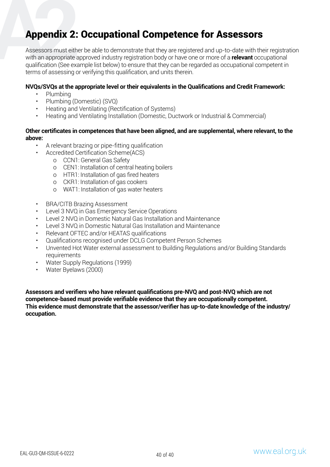**Appendix 2: Occupational Competence for Assessors**<br>Assessors must either be able to demonstrate that they are registered and up-to-date with th<br>with an appropriate approved industry registration body or have one or more o Assessors must either be able to demonstrate that they are registered and up-to-date with their registration with an appropriate approved industry registration body or have one or more of a **relevant** occupational qualification (See example list below) to ensure that they can be regarded as occupational competent in terms of assessing or verifying this qualification, and units therein.

#### **NVQs/SVQs at the appropriate level or their equivalents in the Qualifications and Credit Framework:**

- Plumbing
- Plumbing (Domestic) (SVQ)
- Heating and Ventilating (Rectification of Systems)
- Heating and Ventilating Installation (Domestic, Ductwork or Industrial & Commercial)

#### **Other certificates in competences that have been aligned, and are supplemental, where relevant, to the above:**

- A relevant brazing or pipe-fitting qualification
	- Accredited Certification Scheme(ACS)
		- o CCN1: General Gas Safety
		- o CEN1: Installation of central heating boilers
		- o HTR1: Installation of gas fired heaters
		- o CKR1: Installation of gas cookers
		- o WAT1: Installation of gas water heaters
- BRA/CITB Brazing Assessment
- Level 3 NVQ in Gas Emergency Service Operations
- Level 2 NVQ in Domestic Natural Gas Installation and Maintenance
- Level 3 NVQ in Domestic Natural Gas Installation and Maintenance
- Relevant OFTEC and/or HEATAS qualifications
- Qualifications recognised under DCLG Competent Person Schemes
- Unvented Hot Water external assessment to Building Regulations and/or Building Standards requirements
- Water Supply Regulations (1999)
- Water Byelaws (2000)

**Assessors and verifiers who have relevant qualifications pre-NVQ and post-NVQ which are not competence-based must provide verifiable evidence that they are occupationally competent. This evidence must demonstrate that the assessor/verifier has up-to-date knowledge of the industry/ occupation.**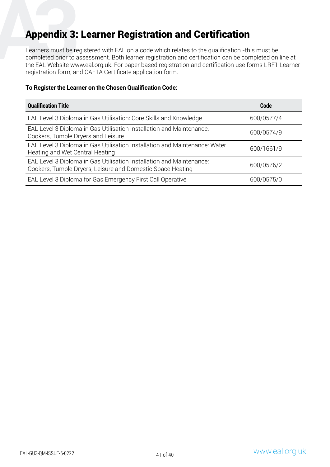# **Appendix 3: Learner Registration and Certification**

Learners must be registered with EAL on a code which relates to the qualification -this must be completed prior to assessment. Both learner registration and certification can be completed on line at the EAL Website www.eal.org.uk. For paper based registration and certification use forms LRF1 Learner registration form, and CAF1A Certificate application form.

#### **To Register the Learner on the Chosen Qualification Code:**

| <b>Qualification Title</b>                                                                                                         | <b>Code</b> |
|------------------------------------------------------------------------------------------------------------------------------------|-------------|
| EAL Level 3 Diploma in Gas Utilisation: Core Skills and Knowledge                                                                  | 600/0577/4  |
| EAL Level 3 Diploma in Gas Utilisation Installation and Maintenance:<br>Cookers, Tumble Dryers and Leisure                         | 600/0574/9  |
| EAL Level 3 Diploma in Gas Utilisation Installation and Maintenance: Water<br>Heating and Wet Central Heating                      | 600/1661/9  |
| EAL Level 3 Diploma in Gas Utilisation Installation and Maintenance:<br>Cookers, Tumble Dryers, Leisure and Domestic Space Heating | 600/0576/2  |
| EAL Level 3 Diploma for Gas Emergency First Call Operative                                                                         | 600/0575/0  |